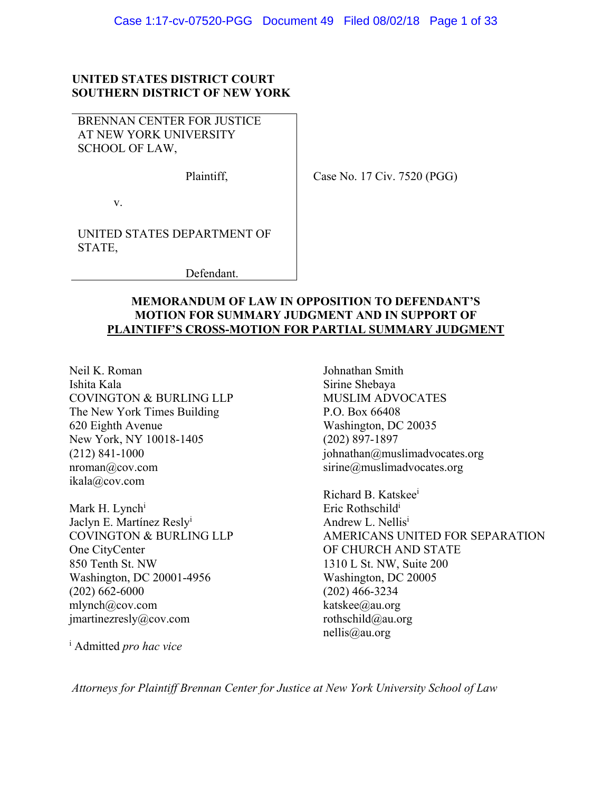# **UNITED STATES DISTRICT COURT SOUTHERN DISTRICT OF NEW YORK**

BRENNAN CENTER FOR JUSTICE AT NEW YORK UNIVERSITY SCHOOL OF LAW,

Plaintiff,

Case No. 17 Civ. 7520 (PGG)

v.

UNITED STATES DEPARTMENT OF STATE,

Defendant.

# **MEMORANDUM OF LAW IN OPPOSITION TO DEFENDANT'S MOTION FOR SUMMARY JUDGMENT AND IN SUPPORT OF PLAINTIFF'S CROSS-MOTION FOR PARTIAL SUMMARY JUDGMENT**

Neil K. Roman Ishita Kala COVINGTON & BURLING LLP The New York Times Building 620 Eighth Avenue New York, NY 10018-1405 (212) 841-1000 nroman@cov.com ikala@cov.com

Mark H. Lynch<sup>i</sup> Jaclyn E. Martínez Reslyi COVINGTON & BURLING LLP One CityCenter 850 Tenth St. NW Washington, DC 20001-4956 (202) 662-6000 mlynch@cov.com jmartinezresly@cov.com

Johnathan Smith Sirine Shebaya MUSLIM ADVOCATES P.O. Box 66408 Washington, DC 20035 (202) 897-1897 johnathan@muslimadvocates.org sirine@muslimadvocates.org

Richard B. Katskee<sup>i</sup> Eric Rothschildi Andrew L. Nellis<sup>i</sup> AMERICANS UNITED FOR SEPARATION OF CHURCH AND STATE 1310 L St. NW, Suite 200 Washington, DC 20005 (202) 466-3234 katskee@au.org rothschild@au.org nellis@au.org

i Admitted *pro hac vice*

*Attorneys for Plaintiff Brennan Center for Justice at New York University School of Law*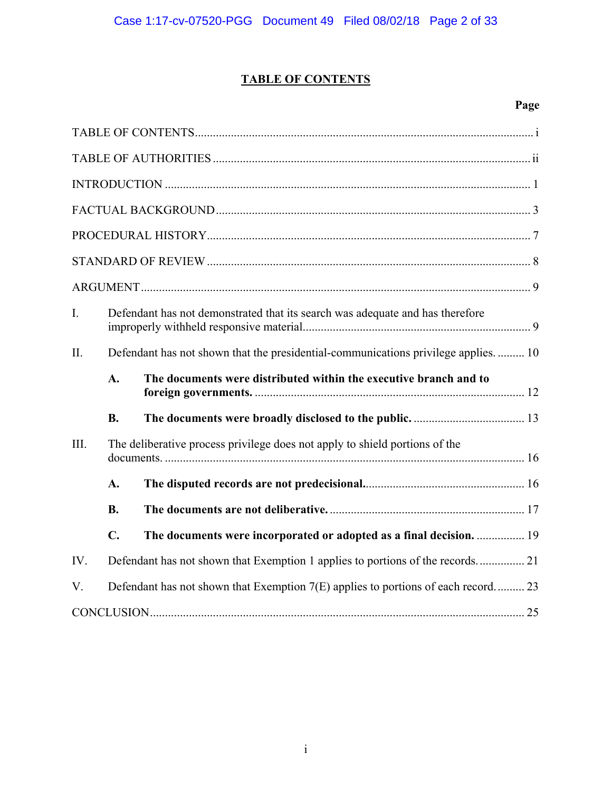# **TABLE OF CONTENTS**

# **Page**

| I.   |               | Defendant has not demonstrated that its search was adequate and has therefore       |
|------|---------------|-------------------------------------------------------------------------------------|
| II.  |               | Defendant has not shown that the presidential-communications privilege applies.  10 |
|      | A.            | The documents were distributed within the executive branch and to                   |
|      | <b>B.</b>     |                                                                                     |
| III. |               | The deliberative process privilege does not apply to shield portions of the         |
|      | A.            |                                                                                     |
|      | <b>B.</b>     |                                                                                     |
|      | $C_{\bullet}$ | The documents were incorporated or adopted as a final decision.  19                 |
| IV.  |               | Defendant has not shown that Exemption 1 applies to portions of the records 21      |
| V.   |               | Defendant has not shown that Exemption 7(E) applies to portions of each record 23   |
|      |               |                                                                                     |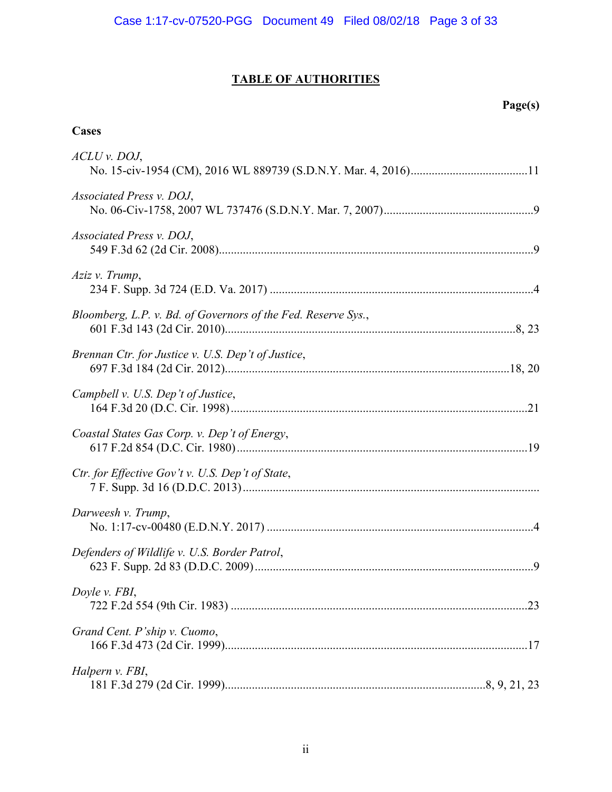# **TABLE OF AUTHORITIES**

# **Page(s)**

# **Cases**

| $ACLU$ v. DOJ,                                                |
|---------------------------------------------------------------|
| Associated Press v. DOJ,                                      |
| Associated Press v. DOJ,                                      |
| Aziz v. Trump,                                                |
| Bloomberg, L.P. v. Bd. of Governors of the Fed. Reserve Sys., |
| Brennan Ctr. for Justice v. U.S. Dep't of Justice,            |
| Campbell v. U.S. Dep't of Justice,                            |
| Coastal States Gas Corp. v. Dep't of Energy,                  |
| Ctr. for Effective Gov't v. U.S. Dep't of State,              |
| Darweesh v. Trump,                                            |
| Defenders of Wildlife v. U.S. Border Patrol,                  |
| Doyle v. FBI,                                                 |
| Grand Cent. P'ship v. Cuomo,                                  |
| Halpern v. FBI,                                               |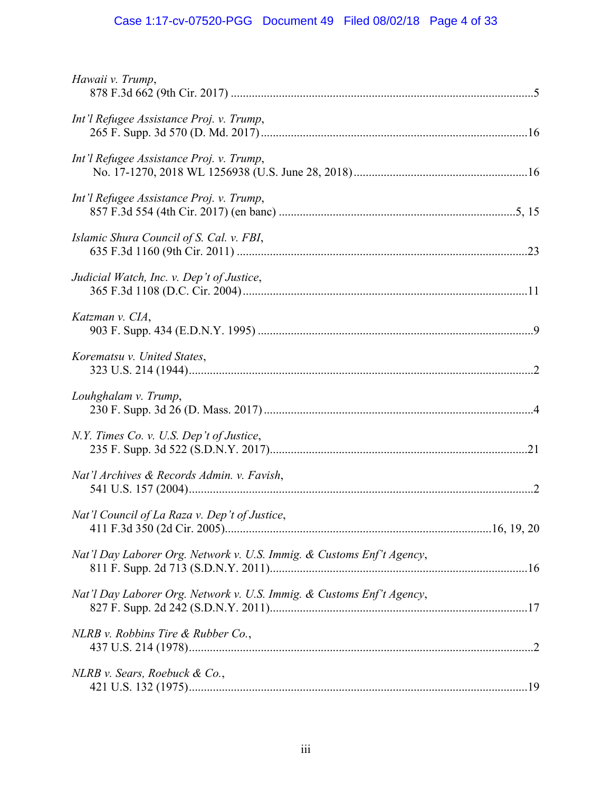# Case 1:17-cv-07520-PGG Document 49 Filed 08/02/18 Page 4 of 33

| Hawaii v. Trump,                                                      |  |
|-----------------------------------------------------------------------|--|
| Int'l Refugee Assistance Proj. v. Trump,                              |  |
| Int'l Refugee Assistance Proj. v. Trump,                              |  |
| Int'l Refugee Assistance Proj. v. Trump,                              |  |
| Islamic Shura Council of S. Cal. v. FBI,                              |  |
| Judicial Watch, Inc. v. Dep't of Justice,                             |  |
| Katzman v. CIA,                                                       |  |
| Korematsu v. United States,                                           |  |
| Louhghalam v. Trump,                                                  |  |
| N.Y. Times Co. v. U.S. Dep't of Justice,                              |  |
| Nat'l Archives & Records Admin. v. Favish,                            |  |
| Nat'l Council of La Raza v. Dep't of Justice,                         |  |
| Nat'l Day Laborer Org. Network v. U.S. Immig. & Customs Enf't Agency, |  |
| Nat'l Day Laborer Org. Network v. U.S. Immig. & Customs Enf't Agency, |  |
| NLRB v. Robbins Tire & Rubber Co.,                                    |  |
| $NLRB$ v. Sears, Roebuck & Co.,                                       |  |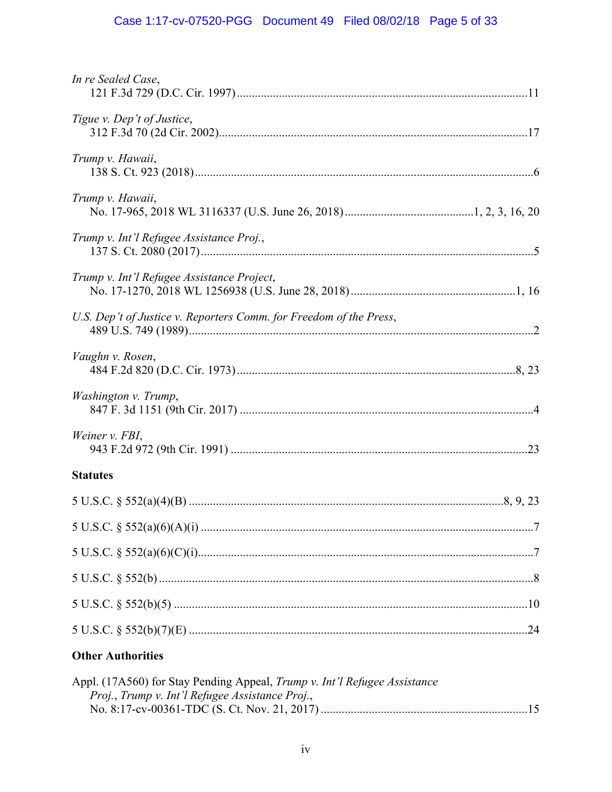# Case 1:17-cv-07520-PGG Document 49 Filed 08/02/18 Page 5 of 33

| In re Sealed Case,                                                 |  |
|--------------------------------------------------------------------|--|
| Tigue v. Dep't of Justice,                                         |  |
| Trump v. Hawaii,                                                   |  |
| Trump v. Hawaii,                                                   |  |
| Trump v. Int'l Refugee Assistance Proj.,                           |  |
| Trump v. Int'l Refugee Assistance Project,                         |  |
| U.S. Dep't of Justice v. Reporters Comm. for Freedom of the Press, |  |
| Vaughn v. Rosen,                                                   |  |
| Washington v. Trump,                                               |  |
| Weiner v. FBI,                                                     |  |
| <b>Statutes</b>                                                    |  |
|                                                                    |  |
|                                                                    |  |
|                                                                    |  |
|                                                                    |  |
|                                                                    |  |
|                                                                    |  |
| <b>Other Authorities</b>                                           |  |

| Appl. (17A560) for Stay Pending Appeal, Trump v. Int'l Refugee Assistance |  |
|---------------------------------------------------------------------------|--|
| <i>Proj., Trump v. Int'l Refugee Assistance Proj.,</i>                    |  |
|                                                                           |  |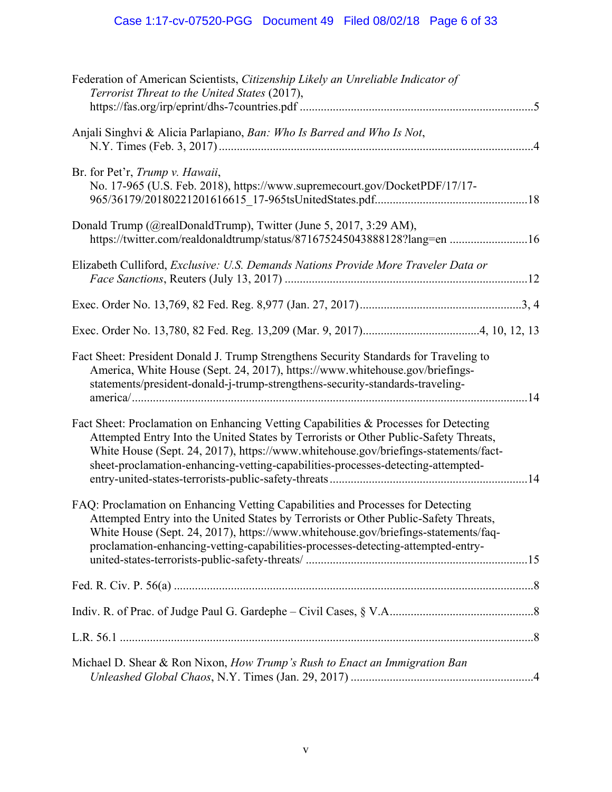| Federation of American Scientists, Citizenship Likely an Unreliable Indicator of<br>Terrorist Threat to the United States (2017),                                                                                                                                                                                                                       |
|---------------------------------------------------------------------------------------------------------------------------------------------------------------------------------------------------------------------------------------------------------------------------------------------------------------------------------------------------------|
| Anjali Singhvi & Alicia Parlapiano, Ban: Who Is Barred and Who Is Not,                                                                                                                                                                                                                                                                                  |
| Br. for Pet'r, Trump v. Hawaii,<br>No. 17-965 (U.S. Feb. 2018), https://www.supremecourt.gov/DocketPDF/17/17-                                                                                                                                                                                                                                           |
| Donald Trump (@realDonaldTrump), Twitter (June 5, 2017, 3:29 AM),<br>https://twitter.com/realdonaldtrump/status/871675245043888128?lang=en 16                                                                                                                                                                                                           |
| Elizabeth Culliford, Exclusive: U.S. Demands Nations Provide More Traveler Data or                                                                                                                                                                                                                                                                      |
|                                                                                                                                                                                                                                                                                                                                                         |
|                                                                                                                                                                                                                                                                                                                                                         |
| Fact Sheet: President Donald J. Trump Strengthens Security Standards for Traveling to<br>America, White House (Sept. 24, 2017), https://www.whitehouse.gov/briefings-<br>statements/president-donald-j-trump-strengthens-security-standards-traveling-                                                                                                  |
| Fact Sheet: Proclamation on Enhancing Vetting Capabilities & Processes for Detecting<br>Attempted Entry Into the United States by Terrorists or Other Public-Safety Threats,<br>White House (Sept. 24, 2017), https://www.whitehouse.gov/briefings-statements/fact-<br>sheet-proclamation-enhancing-vetting-capabilities-processes-detecting-attempted- |
| FAQ: Proclamation on Enhancing Vetting Capabilities and Processes for Detecting<br>Attempted Entry into the United States by Terrorists or Other Public-Safety Threats.<br>White House (Sept. 24, 2017), https://www.whitehouse.gov/briefings-statements/faq-<br>proclamation-enhancing-vetting-capabilities-processes-detecting-attempted-entry-       |
|                                                                                                                                                                                                                                                                                                                                                         |
|                                                                                                                                                                                                                                                                                                                                                         |
|                                                                                                                                                                                                                                                                                                                                                         |
| Michael D. Shear & Ron Nixon, How Trump's Rush to Enact an Immigration Ban                                                                                                                                                                                                                                                                              |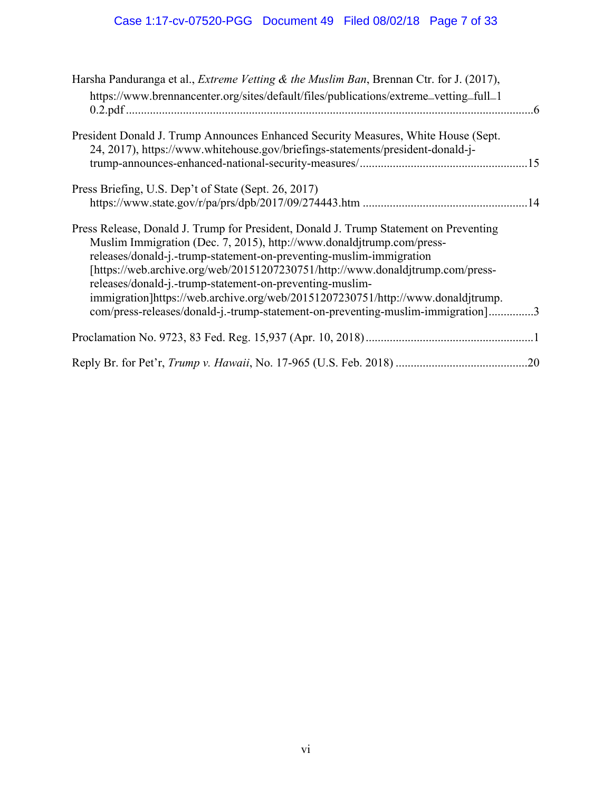# Case 1:17-cv-07520-PGG Document 49 Filed 08/02/18 Page 7 of 33

| Harsha Panduranga et al., <i>Extreme Vetting &amp; the Muslim Ban</i> , Brennan Ctr. for J. (2017),<br>https://www.brennancenter.org/sites/default/files/publications/extreme_vetting_full_1                                                                                                                                                                                                                                                                                                                                                              |  |
|-----------------------------------------------------------------------------------------------------------------------------------------------------------------------------------------------------------------------------------------------------------------------------------------------------------------------------------------------------------------------------------------------------------------------------------------------------------------------------------------------------------------------------------------------------------|--|
| President Donald J. Trump Announces Enhanced Security Measures, White House (Sept.<br>24, 2017), https://www.whitehouse.gov/briefings-statements/president-donald-j-                                                                                                                                                                                                                                                                                                                                                                                      |  |
| Press Briefing, U.S. Dep't of State (Sept. 26, 2017)                                                                                                                                                                                                                                                                                                                                                                                                                                                                                                      |  |
| Press Release, Donald J. Trump for President, Donald J. Trump Statement on Preventing<br>Muslim Immigration (Dec. 7, 2015), http://www.donaldjtrump.com/press-<br>releases/donald-j.-trump-statement-on-preventing-muslim-immigration<br>[https://web.archive.org/web/20151207230751/http://www.donaldjtrump.com/press-<br>releases/donald-j.-trump-statement-on-preventing-muslim-<br>immigration]https://web.archive.org/web/20151207230751/http://www.donaldjtrump.<br>com/press-releases/donald-j.-trump-statement-on-preventing-muslim-immigration]3 |  |
|                                                                                                                                                                                                                                                                                                                                                                                                                                                                                                                                                           |  |
|                                                                                                                                                                                                                                                                                                                                                                                                                                                                                                                                                           |  |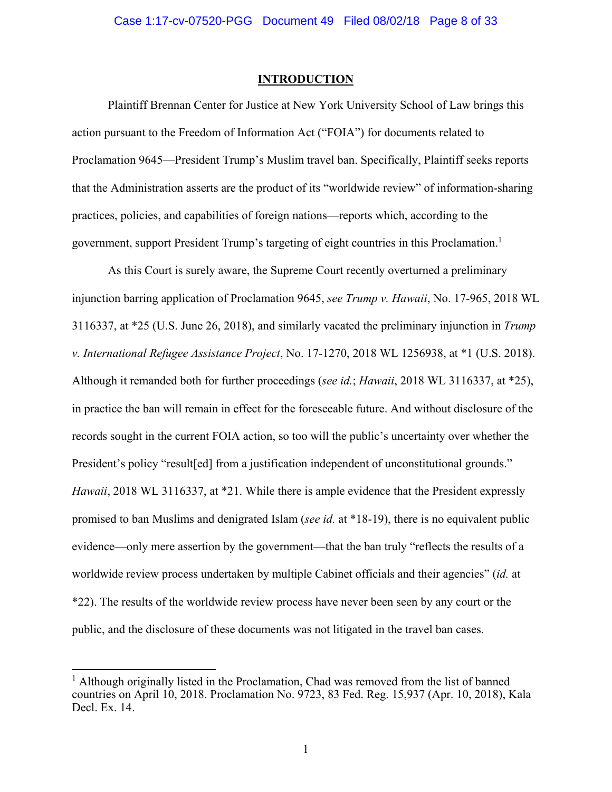#### **INTRODUCTION**

Plaintiff Brennan Center for Justice at New York University School of Law brings this action pursuant to the Freedom of Information Act ("FOIA") for documents related to Proclamation 9645—President Trump's Muslim travel ban. Specifically, Plaintiff seeks reports that the Administration asserts are the product of its "worldwide review" of information-sharing practices, policies, and capabilities of foreign nations—reports which, according to the government, support President Trump's targeting of eight countries in this Proclamation.<sup>1</sup>

As this Court is surely aware, the Supreme Court recently overturned a preliminary injunction barring application of Proclamation 9645, *see Trump v. Hawaii*, No. 17-965, 2018 WL 3116337, at \*25 (U.S. June 26, 2018), and similarly vacated the preliminary injunction in *Trump v. International Refugee Assistance Project*, No. 17-1270, 2018 WL 1256938, at \*1 (U.S. 2018). Although it remanded both for further proceedings (*see id.*; *Hawaii*, 2018 WL 3116337, at \*25), in practice the ban will remain in effect for the foreseeable future. And without disclosure of the records sought in the current FOIA action, so too will the public's uncertainty over whether the President's policy "result[ed] from a justification independent of unconstitutional grounds." *Hawaii*, 2018 WL 3116337, at \*21. While there is ample evidence that the President expressly promised to ban Muslims and denigrated Islam (*see id.* at \*18-19), there is no equivalent public evidence—only mere assertion by the government—that the ban truly "reflects the results of a worldwide review process undertaken by multiple Cabinet officials and their agencies" (*id.* at \*22). The results of the worldwide review process have never been seen by any court or the public, and the disclosure of these documents was not litigated in the travel ban cases.

<u>.</u>

<sup>&</sup>lt;sup>1</sup> Although originally listed in the Proclamation, Chad was removed from the list of banned countries on April 10, 2018. Proclamation No. 9723, 83 Fed. Reg. 15,937 (Apr. 10, 2018), Kala Decl. Ex. 14.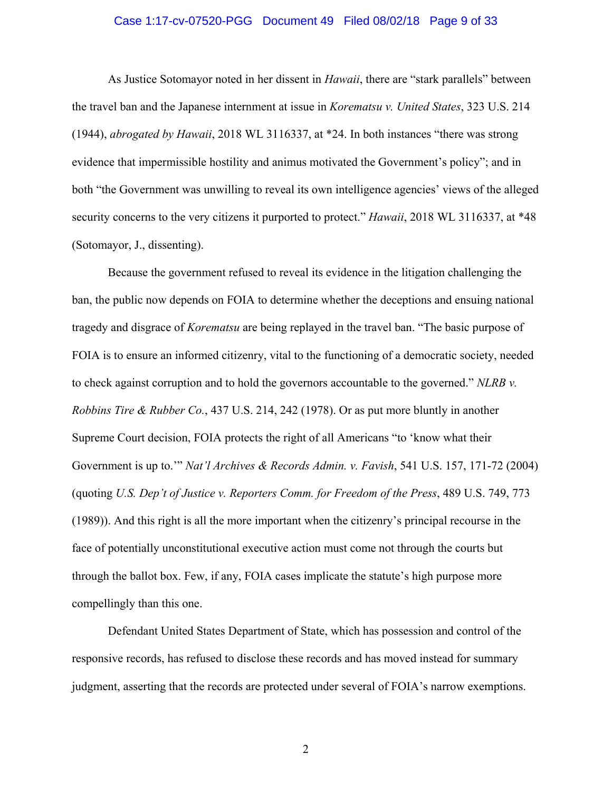#### Case 1:17-cv-07520-PGG Document 49 Filed 08/02/18 Page 9 of 33

As Justice Sotomayor noted in her dissent in *Hawaii*, there are "stark parallels" between the travel ban and the Japanese internment at issue in *Korematsu v. United States*, 323 U.S. 214 (1944), *abrogated by Hawaii*, 2018 WL 3116337, at \*24. In both instances "there was strong evidence that impermissible hostility and animus motivated the Government's policy"; and in both "the Government was unwilling to reveal its own intelligence agencies' views of the alleged security concerns to the very citizens it purported to protect." *Hawaii*, 2018 WL 3116337, at \*48 (Sotomayor, J., dissenting).

Because the government refused to reveal its evidence in the litigation challenging the ban, the public now depends on FOIA to determine whether the deceptions and ensuing national tragedy and disgrace of *Korematsu* are being replayed in the travel ban. "The basic purpose of FOIA is to ensure an informed citizenry, vital to the functioning of a democratic society, needed to check against corruption and to hold the governors accountable to the governed." *NLRB v. Robbins Tire & Rubber Co.*, 437 U.S. 214, 242 (1978). Or as put more bluntly in another Supreme Court decision, FOIA protects the right of all Americans "to 'know what their Government is up to.'" *Nat'l Archives & Records Admin. v. Favish*, 541 U.S. 157, 171-72 (2004) (quoting *U.S. Dep't of Justice v. Reporters Comm. for Freedom of the Press*, 489 U.S. 749, 773 (1989)). And this right is all the more important when the citizenry's principal recourse in the face of potentially unconstitutional executive action must come not through the courts but through the ballot box. Few, if any, FOIA cases implicate the statute's high purpose more compellingly than this one.

Defendant United States Department of State, which has possession and control of the responsive records, has refused to disclose these records and has moved instead for summary judgment, asserting that the records are protected under several of FOIA's narrow exemptions.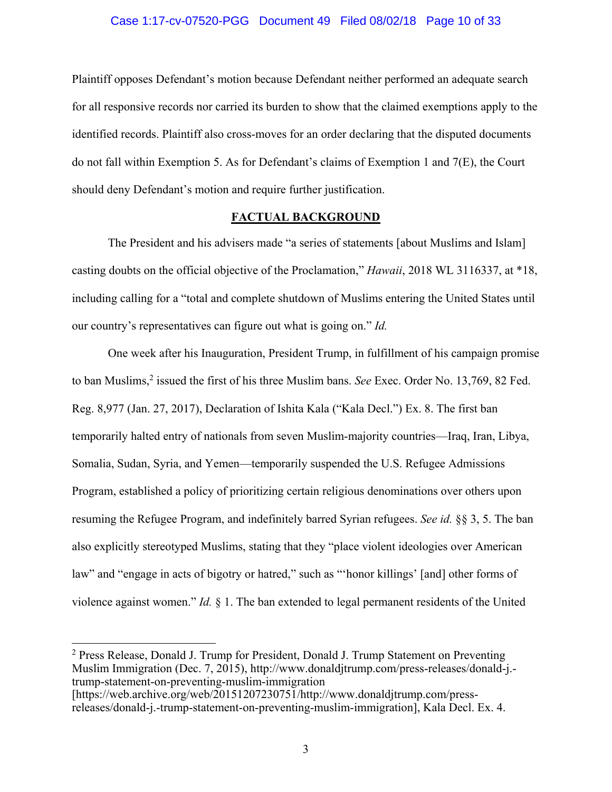#### Case 1:17-cv-07520-PGG Document 49 Filed 08/02/18 Page 10 of 33

Plaintiff opposes Defendant's motion because Defendant neither performed an adequate search for all responsive records nor carried its burden to show that the claimed exemptions apply to the identified records. Plaintiff also cross-moves for an order declaring that the disputed documents do not fall within Exemption 5. As for Defendant's claims of Exemption 1 and 7(E), the Court should deny Defendant's motion and require further justification.

### **FACTUAL BACKGROUND**

The President and his advisers made "a series of statements [about Muslims and Islam] casting doubts on the official objective of the Proclamation," *Hawaii*, 2018 WL 3116337, at \*18, including calling for a "total and complete shutdown of Muslims entering the United States until our country's representatives can figure out what is going on." *Id.*

One week after his Inauguration, President Trump, in fulfillment of his campaign promise to ban Muslims,<sup>2</sup> issued the first of his three Muslim bans. *See* Exec. Order No. 13,769, 82 Fed. Reg. 8,977 (Jan. 27, 2017), Declaration of Ishita Kala ("Kala Decl.") Ex. 8. The first ban temporarily halted entry of nationals from seven Muslim-majority countries—Iraq, Iran, Libya, Somalia, Sudan, Syria, and Yemen—temporarily suspended the U.S. Refugee Admissions Program, established a policy of prioritizing certain religious denominations over others upon resuming the Refugee Program, and indefinitely barred Syrian refugees. *See id.* §§ 3, 5. The ban also explicitly stereotyped Muslims, stating that they "place violent ideologies over American law" and "engage in acts of bigotry or hatred," such as "'honor killings' [and] other forms of violence against women." *Id.* § 1. The ban extended to legal permanent residents of the United

<sup>2</sup> Press Release, Donald J. Trump for President, Donald J. Trump Statement on Preventing Muslim Immigration (Dec. 7, 2015), http://www.donaldjtrump.com/press-releases/donald-j. trump-statement-on-preventing-muslim-immigration

<sup>[</sup>https://web.archive.org/web/20151207230751/http://www.donaldjtrump.com/pressreleases/donald-j.-trump-statement-on-preventing-muslim-immigration], Kala Decl. Ex. 4.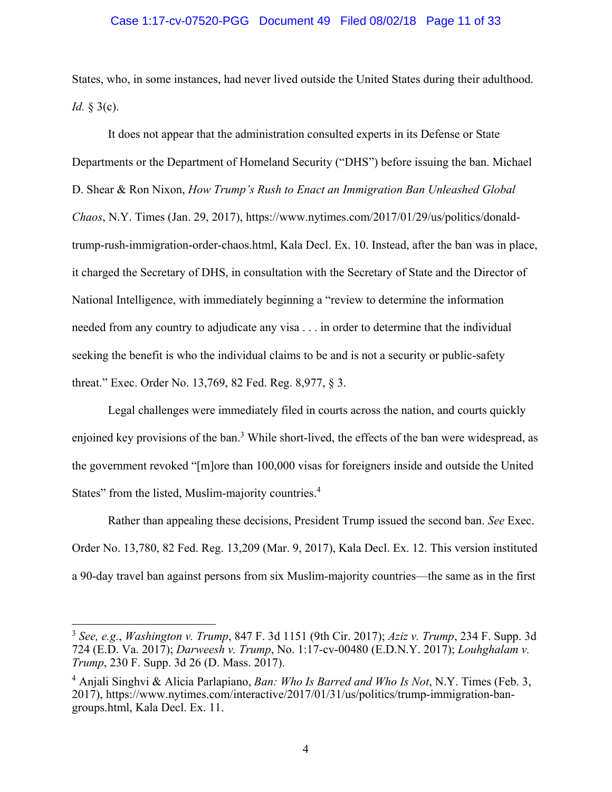#### Case 1:17-cv-07520-PGG Document 49 Filed 08/02/18 Page 11 of 33

States, who, in some instances, had never lived outside the United States during their adulthood. *Id.* § 3(c).

It does not appear that the administration consulted experts in its Defense or State Departments or the Department of Homeland Security ("DHS") before issuing the ban. Michael D. Shear & Ron Nixon, *How Trump's Rush to Enact an Immigration Ban Unleashed Global Chaos*, N.Y. Times (Jan. 29, 2017), https://www.nytimes.com/2017/01/29/us/politics/donaldtrump-rush-immigration-order-chaos.html, Kala Decl. Ex. 10. Instead, after the ban was in place, it charged the Secretary of DHS, in consultation with the Secretary of State and the Director of National Intelligence, with immediately beginning a "review to determine the information needed from any country to adjudicate any visa . . . in order to determine that the individual seeking the benefit is who the individual claims to be and is not a security or public-safety threat." Exec. Order No. 13,769, 82 Fed. Reg. 8,977, § 3.

Legal challenges were immediately filed in courts across the nation, and courts quickly enjoined key provisions of the ban.<sup>3</sup> While short-lived, the effects of the ban were widespread, as the government revoked "[m]ore than 100,000 visas for foreigners inside and outside the United States" from the listed, Muslim-majority countries.<sup>4</sup>

Rather than appealing these decisions, President Trump issued the second ban. *See* Exec. Order No. 13,780, 82 Fed. Reg. 13,209 (Mar. 9, 2017), Kala Decl. Ex. 12. This version instituted a 90-day travel ban against persons from six Muslim-majority countries—the same as in the first

<sup>3</sup> *See, e.g.*, *Washington v. Trump*, 847 F. 3d 1151 (9th Cir. 2017); *Aziz v. Trump*, 234 F. Supp. 3d 724 (E.D. Va. 2017); *Darweesh v. Trump*, No. 1:17-cv-00480 (E.D.N.Y. 2017); *Louhghalam v. Trump*, 230 F. Supp. 3d 26 (D. Mass. 2017).

<sup>4</sup> Anjali Singhvi & Alicia Parlapiano, *Ban: Who Is Barred and Who Is Not*, N.Y. Times (Feb. 3, 2017), https://www.nytimes.com/interactive/2017/01/31/us/politics/trump-immigration-bangroups.html, Kala Decl. Ex. 11.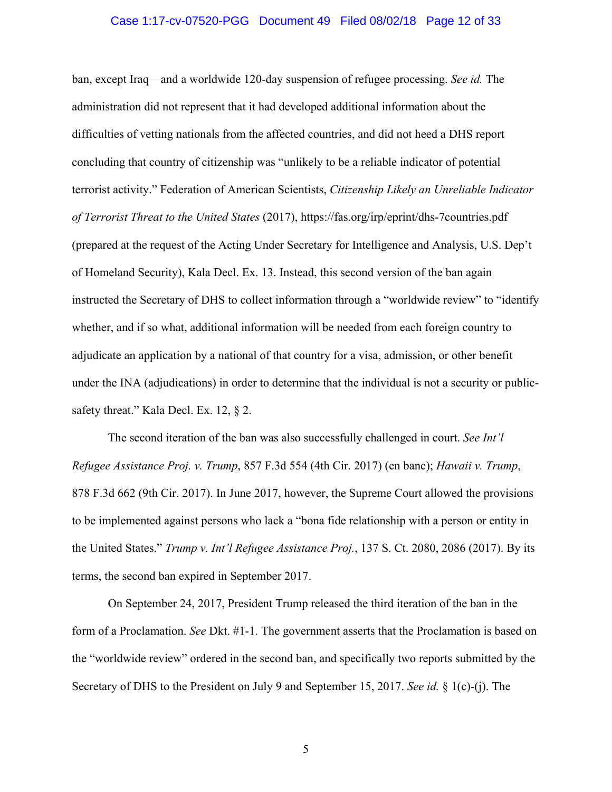#### Case 1:17-cv-07520-PGG Document 49 Filed 08/02/18 Page 12 of 33

ban, except Iraq—and a worldwide 120-day suspension of refugee processing. *See id.* The administration did not represent that it had developed additional information about the difficulties of vetting nationals from the affected countries, and did not heed a DHS report concluding that country of citizenship was "unlikely to be a reliable indicator of potential terrorist activity." Federation of American Scientists, *Citizenship Likely an Unreliable Indicator of Terrorist Threat to the United States* (2017), https://fas.org/irp/eprint/dhs-7countries.pdf (prepared at the request of the Acting Under Secretary for Intelligence and Analysis, U.S. Dep't of Homeland Security), Kala Decl. Ex. 13. Instead, this second version of the ban again instructed the Secretary of DHS to collect information through a "worldwide review" to "identify whether, and if so what, additional information will be needed from each foreign country to adjudicate an application by a national of that country for a visa, admission, or other benefit under the INA (adjudications) in order to determine that the individual is not a security or publicsafety threat." Kala Decl. Ex. 12, § 2.

The second iteration of the ban was also successfully challenged in court. *See Int'l Refugee Assistance Proj. v. Trump*, 857 F.3d 554 (4th Cir. 2017) (en banc); *Hawaii v. Trump*, 878 F.3d 662 (9th Cir. 2017). In June 2017, however, the Supreme Court allowed the provisions to be implemented against persons who lack a "bona fide relationship with a person or entity in the United States." *Trump v. Int'l Refugee Assistance Proj.*, 137 S. Ct. 2080, 2086 (2017). By its terms, the second ban expired in September 2017.

On September 24, 2017, President Trump released the third iteration of the ban in the form of a Proclamation. *See* Dkt. #1-1. The government asserts that the Proclamation is based on the "worldwide review" ordered in the second ban, and specifically two reports submitted by the Secretary of DHS to the President on July 9 and September 15, 2017. *See id.* § 1(c)-(j). The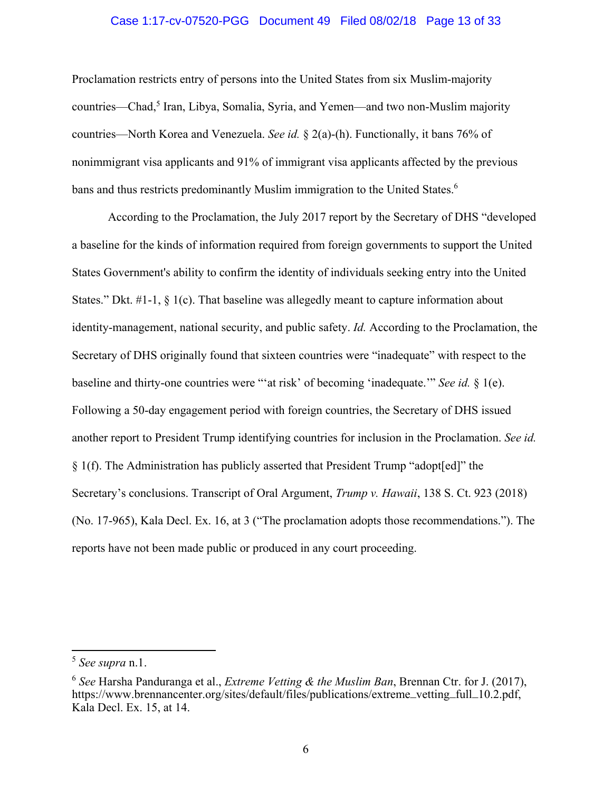#### Case 1:17-cv-07520-PGG Document 49 Filed 08/02/18 Page 13 of 33

Proclamation restricts entry of persons into the United States from six Muslim-majority countries—Chad,<sup>5</sup> Iran, Libya, Somalia, Syria, and Yemen—and two non-Muslim majority countries—North Korea and Venezuela. *See id.* § 2(a)-(h). Functionally, it bans 76% of nonimmigrant visa applicants and 91% of immigrant visa applicants affected by the previous bans and thus restricts predominantly Muslim immigration to the United States.<sup>6</sup>

According to the Proclamation, the July 2017 report by the Secretary of DHS "developed a baseline for the kinds of information required from foreign governments to support the United States Government's ability to confirm the identity of individuals seeking entry into the United States." Dkt. #1-1, § 1(c). That baseline was allegedly meant to capture information about identity-management, national security, and public safety. *Id.* According to the Proclamation, the Secretary of DHS originally found that sixteen countries were "inadequate" with respect to the baseline and thirty-one countries were "'at risk' of becoming 'inadequate.'" *See id.* § 1(e). Following a 50-day engagement period with foreign countries, the Secretary of DHS issued another report to President Trump identifying countries for inclusion in the Proclamation. *See id.* § 1(f). The Administration has publicly asserted that President Trump "adopt[ed]" the Secretary's conclusions. Transcript of Oral Argument, *Trump v. Hawaii*, 138 S. Ct. 923 (2018) (No. 17-965), Kala Decl. Ex. 16, at 3 ("The proclamation adopts those recommendations."). The reports have not been made public or produced in any court proceeding.

<sup>5</sup> *See supra* n.1.

<sup>6</sup> *See* Harsha Panduranga et al., *Extreme Vetting & the Muslim Ban*, Brennan Ctr. for J. (2017), https://www.brennancenter.org/sites/default/files/publications/extreme\_vetting\_full\_10.2.pdf, Kala Decl. Ex. 15, at 14.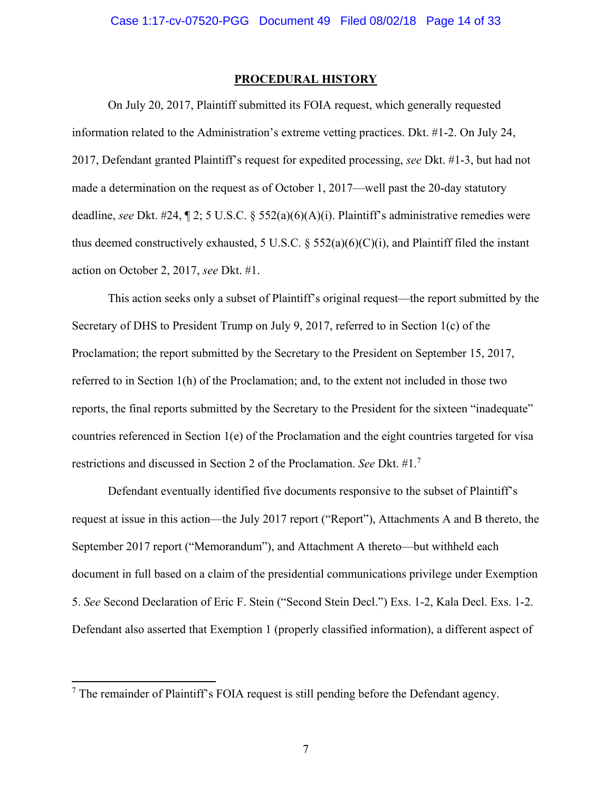## **PROCEDURAL HISTORY**

On July 20, 2017, Plaintiff submitted its FOIA request, which generally requested information related to the Administration's extreme vetting practices. Dkt. #1-2. On July 24, 2017, Defendant granted Plaintiff's request for expedited processing, *see* Dkt. #1-3, but had not made a determination on the request as of October 1, 2017—well past the 20-day statutory deadline, *see* Dkt. #24, ¶ 2; 5 U.S.C. § 552(a)(6)(A)(i). Plaintiff's administrative remedies were thus deemed constructively exhausted, 5 U.S.C. §  $552(a)(6)(C)(i)$ , and Plaintiff filed the instant action on October 2, 2017, *see* Dkt. #1.

This action seeks only a subset of Plaintiff's original request—the report submitted by the Secretary of DHS to President Trump on July 9, 2017, referred to in Section 1(c) of the Proclamation; the report submitted by the Secretary to the President on September 15, 2017, referred to in Section 1(h) of the Proclamation; and, to the extent not included in those two reports, the final reports submitted by the Secretary to the President for the sixteen "inadequate" countries referenced in Section 1(e) of the Proclamation and the eight countries targeted for visa restrictions and discussed in Section 2 of the Proclamation. *See* Dkt. #1.7

Defendant eventually identified five documents responsive to the subset of Plaintiff's request at issue in this action—the July 2017 report ("Report"), Attachments A and B thereto, the September 2017 report ("Memorandum"), and Attachment A thereto—but withheld each document in full based on a claim of the presidential communications privilege under Exemption 5. *See* Second Declaration of Eric F. Stein ("Second Stein Decl.") Exs. 1-2, Kala Decl. Exs. 1-2. Defendant also asserted that Exemption 1 (properly classified information), a different aspect of

 $7$  The remainder of Plaintiff's FOIA request is still pending before the Defendant agency.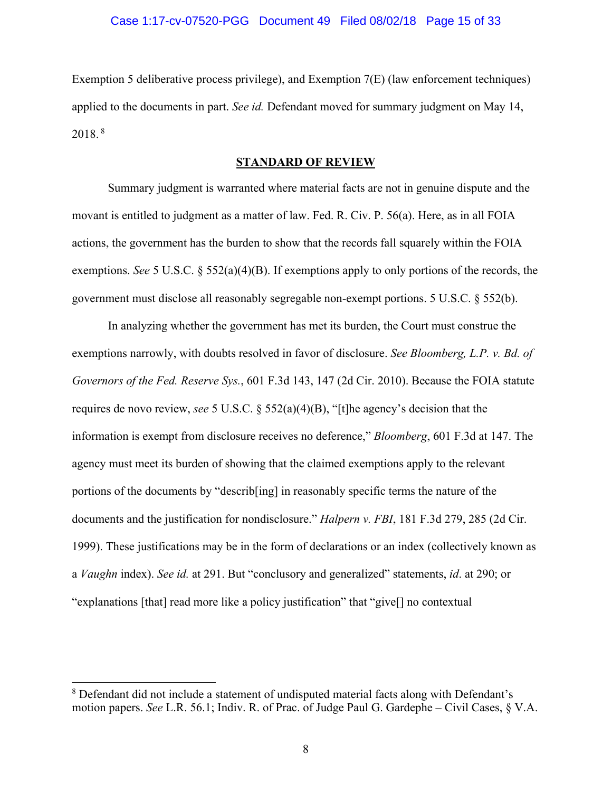Exemption 5 deliberative process privilege), and Exemption 7(E) (law enforcement techniques) applied to the documents in part. *See id.* Defendant moved for summary judgment on May 14, 2018. 8

#### **STANDARD OF REVIEW**

Summary judgment is warranted where material facts are not in genuine dispute and the movant is entitled to judgment as a matter of law. Fed. R. Civ. P. 56(a). Here, as in all FOIA actions, the government has the burden to show that the records fall squarely within the FOIA exemptions. *See* 5 U.S.C. § 552(a)(4)(B). If exemptions apply to only portions of the records, the government must disclose all reasonably segregable non-exempt portions. 5 U.S.C. § 552(b).

In analyzing whether the government has met its burden, the Court must construe the exemptions narrowly, with doubts resolved in favor of disclosure. *See Bloomberg, L.P. v. Bd. of Governors of the Fed. Reserve Sys.*, 601 F.3d 143, 147 (2d Cir. 2010). Because the FOIA statute requires de novo review, *see* 5 U.S.C. § 552(a)(4)(B), "[t]he agency's decision that the information is exempt from disclosure receives no deference," *Bloomberg*, 601 F.3d at 147. The agency must meet its burden of showing that the claimed exemptions apply to the relevant portions of the documents by "describ[ing] in reasonably specific terms the nature of the documents and the justification for nondisclosure." *Halpern v. FBI*, 181 F.3d 279, 285 (2d Cir. 1999). These justifications may be in the form of declarations or an index (collectively known as a *Vaughn* index). *See id.* at 291. But "conclusory and generalized" statements, *id*. at 290; or "explanations [that] read more like a policy justification" that "give[] no contextual

<sup>&</sup>lt;sup>8</sup> Defendant did not include a statement of undisputed material facts along with Defendant's motion papers. *See* L.R. 56.1; Indiv. R. of Prac. of Judge Paul G. Gardephe – Civil Cases, § V.A.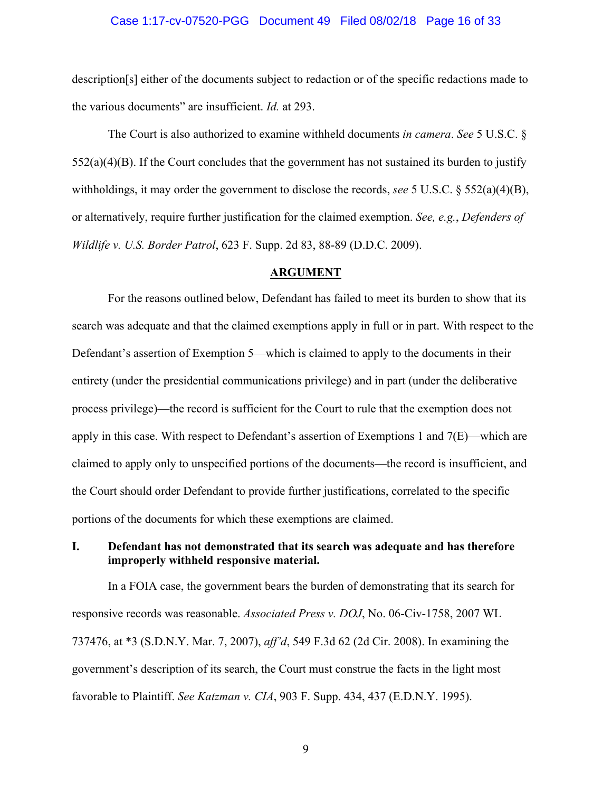#### Case 1:17-cv-07520-PGG Document 49 Filed 08/02/18 Page 16 of 33

description[s] either of the documents subject to redaction or of the specific redactions made to the various documents" are insufficient. *Id.* at 293.

The Court is also authorized to examine withheld documents *in camera*. *See* 5 U.S.C. §  $552(a)(4)(B)$ . If the Court concludes that the government has not sustained its burden to justify withholdings, it may order the government to disclose the records, *see* 5 U.S.C. § 552(a)(4)(B), or alternatively, require further justification for the claimed exemption. *See, e.g.*, *Defenders of Wildlife v. U.S. Border Patrol*, 623 F. Supp. 2d 83, 88-89 (D.D.C. 2009).

#### **ARGUMENT**

For the reasons outlined below, Defendant has failed to meet its burden to show that its search was adequate and that the claimed exemptions apply in full or in part. With respect to the Defendant's assertion of Exemption 5—which is claimed to apply to the documents in their entirety (under the presidential communications privilege) and in part (under the deliberative process privilege)—the record is sufficient for the Court to rule that the exemption does not apply in this case. With respect to Defendant's assertion of Exemptions 1 and 7(E)—which are claimed to apply only to unspecified portions of the documents—the record is insufficient, and the Court should order Defendant to provide further justifications, correlated to the specific portions of the documents for which these exemptions are claimed.

# **I. Defendant has not demonstrated that its search was adequate and has therefore improperly withheld responsive material.**

In a FOIA case, the government bears the burden of demonstrating that its search for responsive records was reasonable. *Associated Press v. DOJ*, No. 06-Civ-1758, 2007 WL 737476, at \*3 (S.D.N.Y. Mar. 7, 2007), *aff'd*, 549 F.3d 62 (2d Cir. 2008). In examining the government's description of its search, the Court must construe the facts in the light most favorable to Plaintiff. *See Katzman v. CIA*, 903 F. Supp. 434, 437 (E.D.N.Y. 1995).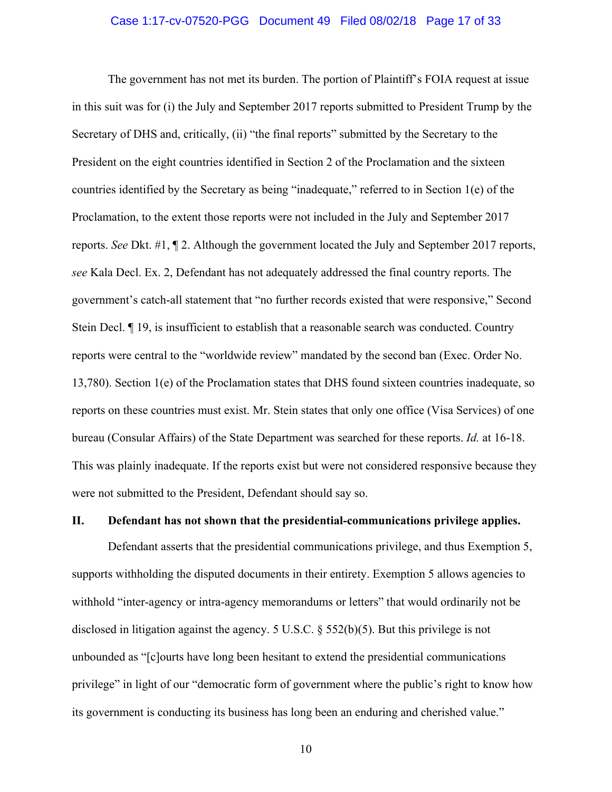#### Case 1:17-cv-07520-PGG Document 49 Filed 08/02/18 Page 17 of 33

The government has not met its burden. The portion of Plaintiff's FOIA request at issue in this suit was for (i) the July and September 2017 reports submitted to President Trump by the Secretary of DHS and, critically, (ii) "the final reports" submitted by the Secretary to the President on the eight countries identified in Section 2 of the Proclamation and the sixteen countries identified by the Secretary as being "inadequate," referred to in Section 1(e) of the Proclamation, to the extent those reports were not included in the July and September 2017 reports. *See* Dkt. #1, ¶ 2. Although the government located the July and September 2017 reports, *see* Kala Decl. Ex. 2, Defendant has not adequately addressed the final country reports. The government's catch-all statement that "no further records existed that were responsive," Second Stein Decl. ¶ 19, is insufficient to establish that a reasonable search was conducted. Country reports were central to the "worldwide review" mandated by the second ban (Exec. Order No. 13,780). Section 1(e) of the Proclamation states that DHS found sixteen countries inadequate, so reports on these countries must exist. Mr. Stein states that only one office (Visa Services) of one bureau (Consular Affairs) of the State Department was searched for these reports. *Id.* at 16-18. This was plainly inadequate. If the reports exist but were not considered responsive because they were not submitted to the President, Defendant should say so.

#### **II. Defendant has not shown that the presidential-communications privilege applies.**

Defendant asserts that the presidential communications privilege, and thus Exemption 5, supports withholding the disputed documents in their entirety. Exemption 5 allows agencies to withhold "inter-agency or intra-agency memorandums or letters" that would ordinarily not be disclosed in litigation against the agency. 5 U.S.C. § 552(b)(5). But this privilege is not unbounded as "[c]ourts have long been hesitant to extend the presidential communications privilege" in light of our "democratic form of government where the public's right to know how its government is conducting its business has long been an enduring and cherished value."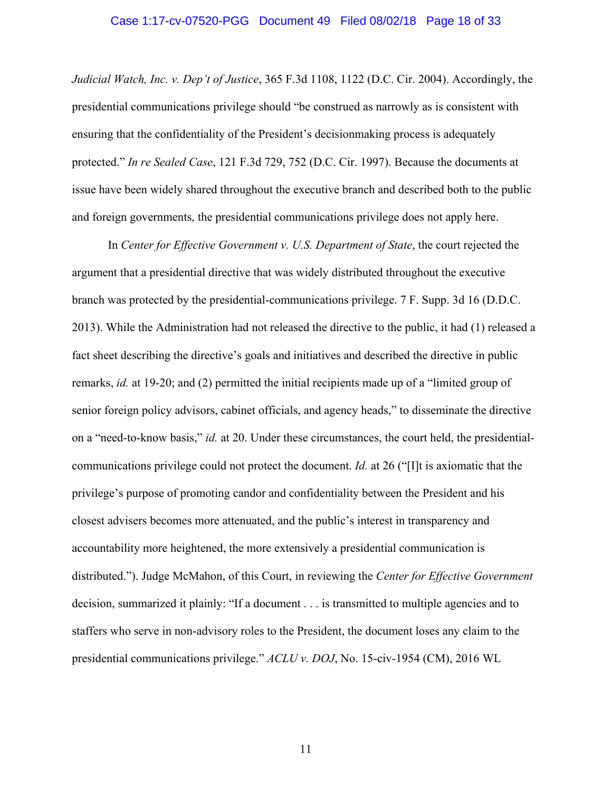#### Case 1:17-cv-07520-PGG Document 49 Filed 08/02/18 Page 18 of 33

*Judicial Watch, Inc. v. Dep't of Justice*, 365 F.3d 1108, 1122 (D.C. Cir. 2004). Accordingly, the presidential communications privilege should "be construed as narrowly as is consistent with ensuring that the confidentiality of the President's decisionmaking process is adequately protected." *In re Sealed Case*, 121 F.3d 729, 752 (D.C. Cir. 1997). Because the documents at issue have been widely shared throughout the executive branch and described both to the public and foreign governments, the presidential communications privilege does not apply here.

In *Center for Effective Government v. U.S. Department of State*, the court rejected the argument that a presidential directive that was widely distributed throughout the executive branch was protected by the presidential-communications privilege. 7 F. Supp. 3d 16 (D.D.C. 2013). While the Administration had not released the directive to the public, it had (1) released a fact sheet describing the directive's goals and initiatives and described the directive in public remarks, *id.* at 19-20; and (2) permitted the initial recipients made up of a "limited group of senior foreign policy advisors, cabinet officials, and agency heads," to disseminate the directive on a "need-to-know basis," *id.* at 20. Under these circumstances, the court held, the presidentialcommunications privilege could not protect the document. *Id.* at 26 ("[I]t is axiomatic that the privilege's purpose of promoting candor and confidentiality between the President and his closest advisers becomes more attenuated, and the public's interest in transparency and accountability more heightened, the more extensively a presidential communication is distributed."). Judge McMahon, of this Court, in reviewing the *Center for Effective Government* decision, summarized it plainly: "If a document . . . is transmitted to multiple agencies and to staffers who serve in non-advisory roles to the President, the document loses any claim to the presidential communications privilege." *ACLU v. DOJ*, No. 15-civ-1954 (CM), 2016 WL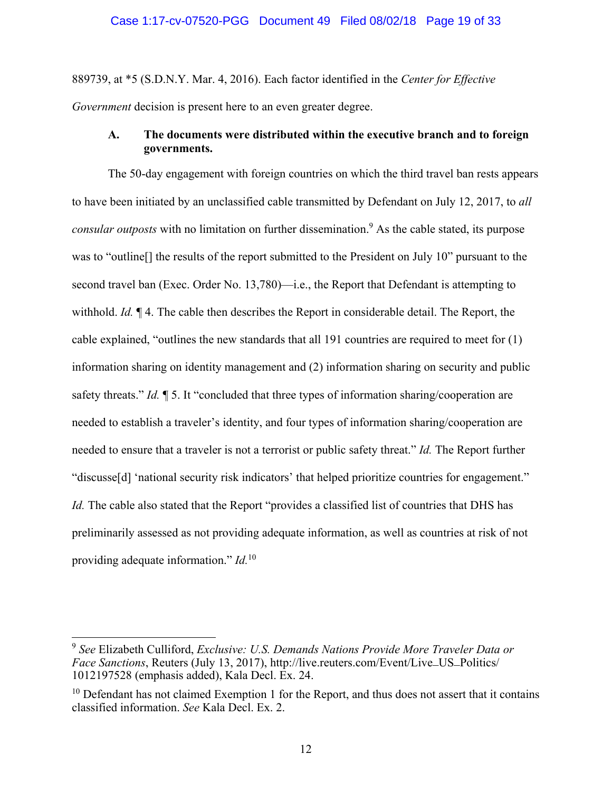889739, at \*5 (S.D.N.Y. Mar. 4, 2016). Each factor identified in the *Center for Effective Government* decision is present here to an even greater degree.

## **A. The documents were distributed within the executive branch and to foreign governments.**

The 50-day engagement with foreign countries on which the third travel ban rests appears to have been initiated by an unclassified cable transmitted by Defendant on July 12, 2017, to *all consular outposts* with no limitation on further dissemination.<sup>9</sup> As the cable stated, its purpose was to "outline[] the results of the report submitted to the President on July 10" pursuant to the second travel ban (Exec. Order No. 13,780)—i.e., the Report that Defendant is attempting to withhold. *Id.* ¶ 4. The cable then describes the Report in considerable detail. The Report, the cable explained, "outlines the new standards that all 191 countries are required to meet for (1) information sharing on identity management and (2) information sharing on security and public safety threats." *Id.* ¶ 5. It "concluded that three types of information sharing/cooperation are needed to establish a traveler's identity, and four types of information sharing/cooperation are needed to ensure that a traveler is not a terrorist or public safety threat." *Id.* The Report further "discusse[d] 'national security risk indicators' that helped prioritize countries for engagement." *Id.* The cable also stated that the Report "provides a classified list of countries that DHS has preliminarily assessed as not providing adequate information, as well as countries at risk of not providing adequate information." *Id.*<sup>10</sup>

<sup>9</sup> *See* Elizabeth Culliford, *Exclusive: U.S. Demands Nations Provide More Traveler Data or Face Sanctions*, Reuters (July 13, 2017), http://live.reuters.com/Event/Live\_US\_Politics/ 1012197528 (emphasis added), Kala Decl. Ex. 24.

 $10$  Defendant has not claimed Exemption 1 for the Report, and thus does not assert that it contains classified information. *See* Kala Decl. Ex. 2.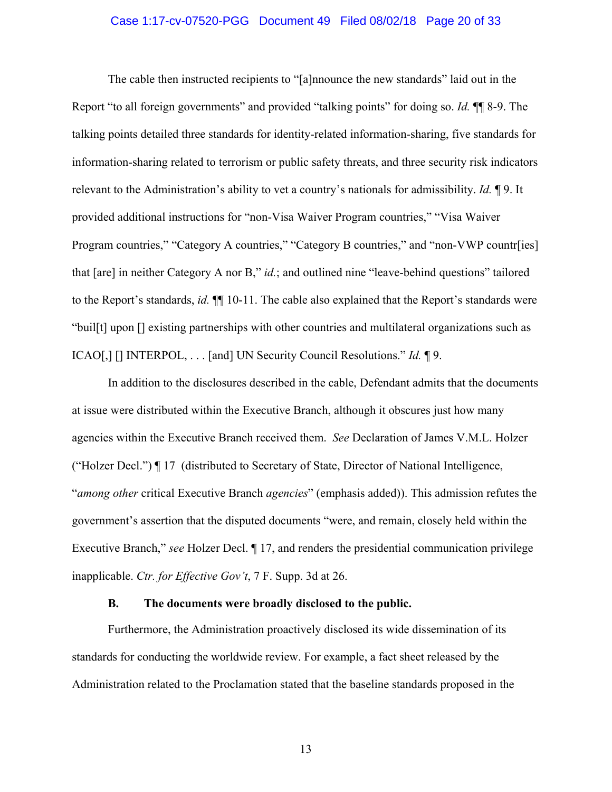#### Case 1:17-cv-07520-PGG Document 49 Filed 08/02/18 Page 20 of 33

The cable then instructed recipients to "[a]nnounce the new standards" laid out in the Report "to all foreign governments" and provided "talking points" for doing so. *Id.* ¶¶ 8-9. The talking points detailed three standards for identity-related information-sharing, five standards for information-sharing related to terrorism or public safety threats, and three security risk indicators relevant to the Administration's ability to vet a country's nationals for admissibility. *Id.* ¶ 9. It provided additional instructions for "non-Visa Waiver Program countries," "Visa Waiver Program countries," "Category A countries," "Category B countries," and "non-VWP countr[ies] that [are] in neither Category A nor B," *id.*; and outlined nine "leave-behind questions" tailored to the Report's standards, *id.* ¶¶ 10-11. The cable also explained that the Report's standards were "buil[t] upon [] existing partnerships with other countries and multilateral organizations such as ICAO[,] [] INTERPOL, . . . [and] UN Security Council Resolutions." *Id.* ¶ 9.

In addition to the disclosures described in the cable, Defendant admits that the documents at issue were distributed within the Executive Branch, although it obscures just how many agencies within the Executive Branch received them. *See* Declaration of James V.M.L. Holzer ("Holzer Decl.") ¶ 17 (distributed to Secretary of State, Director of National Intelligence, "*among other* critical Executive Branch *agencies*" (emphasis added)). This admission refutes the government's assertion that the disputed documents "were, and remain, closely held within the Executive Branch," *see* Holzer Decl. ¶ 17, and renders the presidential communication privilege inapplicable. *Ctr. for Effective Gov't*, 7 F. Supp. 3d at 26.

#### **B. The documents were broadly disclosed to the public.**

Furthermore, the Administration proactively disclosed its wide dissemination of its standards for conducting the worldwide review. For example, a fact sheet released by the Administration related to the Proclamation stated that the baseline standards proposed in the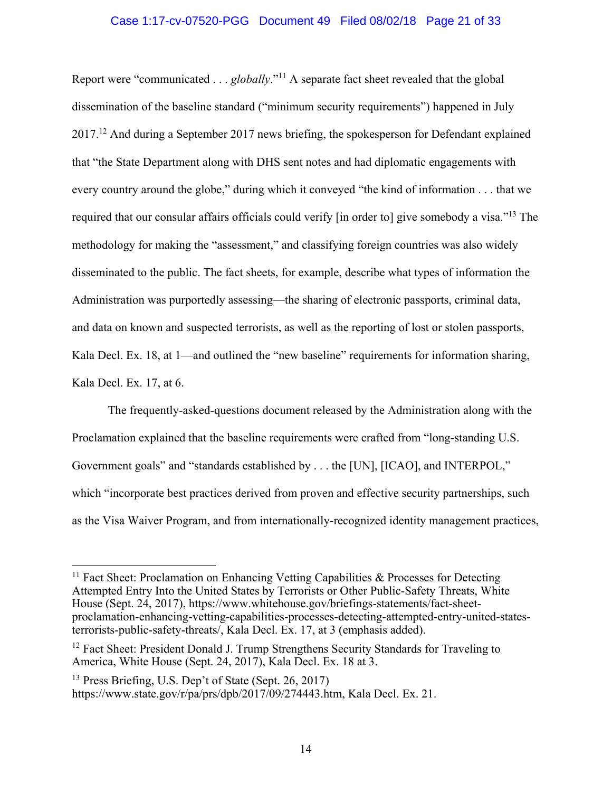#### Case 1:17-cv-07520-PGG Document 49 Filed 08/02/18 Page 21 of 33

Report were "communicated . . . *globally*."11 A separate fact sheet revealed that the global dissemination of the baseline standard ("minimum security requirements") happened in July 2017.<sup>12</sup> And during a September 2017 news briefing, the spokesperson for Defendant explained that "the State Department along with DHS sent notes and had diplomatic engagements with every country around the globe," during which it conveyed "the kind of information . . . that we required that our consular affairs officials could verify [in order to] give somebody a visa."13 The methodology for making the "assessment," and classifying foreign countries was also widely disseminated to the public. The fact sheets, for example, describe what types of information the Administration was purportedly assessing—the sharing of electronic passports, criminal data, and data on known and suspected terrorists, as well as the reporting of lost or stolen passports, Kala Decl. Ex. 18, at 1—and outlined the "new baseline" requirements for information sharing, Kala Decl. Ex. 17, at 6.

The frequently-asked-questions document released by the Administration along with the Proclamation explained that the baseline requirements were crafted from "long-standing U.S. Government goals" and "standards established by . . . the [UN], [ICAO], and INTERPOL," which "incorporate best practices derived from proven and effective security partnerships, such as the Visa Waiver Program, and from internationally-recognized identity management practices,

<u>.</u>

<sup>&</sup>lt;sup>11</sup> Fact Sheet: Proclamation on Enhancing Vetting Capabilities  $\&$  Processes for Detecting Attempted Entry Into the United States by Terrorists or Other Public-Safety Threats, White House (Sept. 24, 2017), https://www.whitehouse.gov/briefings-statements/fact-sheetproclamation-enhancing-vetting-capabilities-processes-detecting-attempted-entry-united-statesterrorists-public-safety-threats/, Kala Decl. Ex. 17, at 3 (emphasis added).

<sup>&</sup>lt;sup>12</sup> Fact Sheet: President Donald J. Trump Strengthens Security Standards for Traveling to America, White House (Sept. 24, 2017), Kala Decl. Ex. 18 at 3.

<sup>&</sup>lt;sup>13</sup> Press Briefing, U.S. Dep't of State (Sept. 26, 2017) https://www.state.gov/r/pa/prs/dpb/2017/09/274443.htm, Kala Decl. Ex. 21.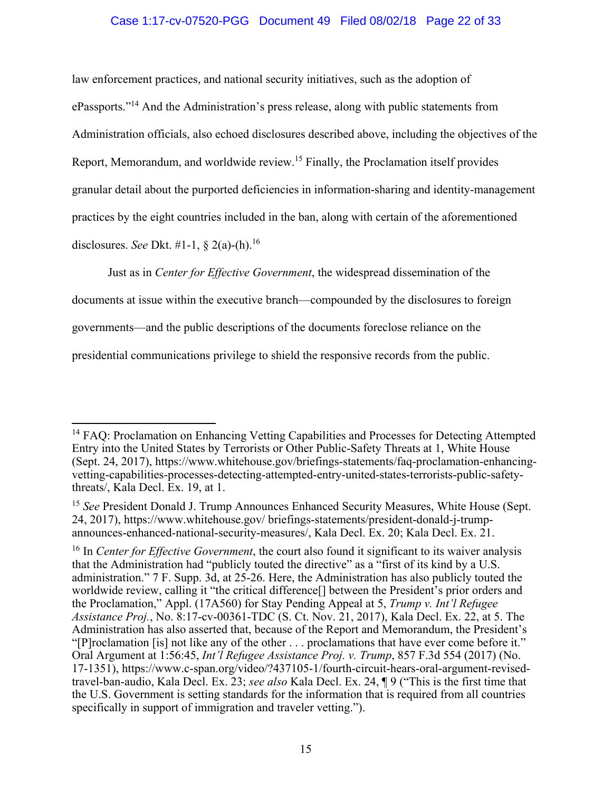### Case 1:17-cv-07520-PGG Document 49 Filed 08/02/18 Page 22 of 33

law enforcement practices, and national security initiatives, such as the adoption of ePassports."14 And the Administration's press release, along with public statements from Administration officials, also echoed disclosures described above, including the objectives of the Report, Memorandum, and worldwide review.15 Finally, the Proclamation itself provides granular detail about the purported deficiencies in information-sharing and identity-management practices by the eight countries included in the ban, along with certain of the aforementioned disclosures. *See* Dkt. #1-1, § 2(a)-(h).16

Just as in *Center for Effective Government*, the widespread dissemination of the

documents at issue within the executive branch—compounded by the disclosures to foreign

governments—and the public descriptions of the documents foreclose reliance on the

presidential communications privilege to shield the responsive records from the public.

<u>.</u>

<sup>&</sup>lt;sup>14</sup> FAO: Proclamation on Enhancing Vetting Capabilities and Processes for Detecting Attempted Entry into the United States by Terrorists or Other Public-Safety Threats at 1, White House (Sept. 24, 2017), https://www.whitehouse.gov/briefings-statements/faq-proclamation-enhancingvetting-capabilities-processes-detecting-attempted-entry-united-states-terrorists-public-safetythreats/, Kala Decl. Ex. 19, at 1.

<sup>15</sup> *See* President Donald J. Trump Announces Enhanced Security Measures, White House (Sept. 24, 2017), https://www.whitehouse.gov/ briefings-statements/president-donald-j-trumpannounces-enhanced-national-security-measures/, Kala Decl. Ex. 20; Kala Decl. Ex. 21.

<sup>&</sup>lt;sup>16</sup> In *Center for Effective Government*, the court also found it significant to its waiver analysis that the Administration had "publicly touted the directive" as a "first of its kind by a U.S. administration." 7 F. Supp. 3d, at 25-26. Here, the Administration has also publicly touted the worldwide review, calling it "the critical difference[] between the President's prior orders and the Proclamation," Appl. (17A560) for Stay Pending Appeal at 5, *Trump v. Int'l Refugee Assistance Proj.*, No. 8:17-cv-00361-TDC (S. Ct. Nov. 21, 2017), Kala Decl. Ex. 22, at 5. The Administration has also asserted that, because of the Report and Memorandum, the President's "[P]roclamation [is] not like any of the other . . . proclamations that have ever come before it." Oral Argument at 1:56:45, *Int'l Refugee Assistance Proj. v. Trump*, 857 F.3d 554 (2017) (No. 17-1351), https://www.c-span.org/video/?437105-1/fourth-circuit-hears-oral-argument-revisedtravel-ban-audio, Kala Decl. Ex. 23; *see also* Kala Decl. Ex. 24, ¶ 9 ("This is the first time that the U.S. Government is setting standards for the information that is required from all countries specifically in support of immigration and traveler vetting.").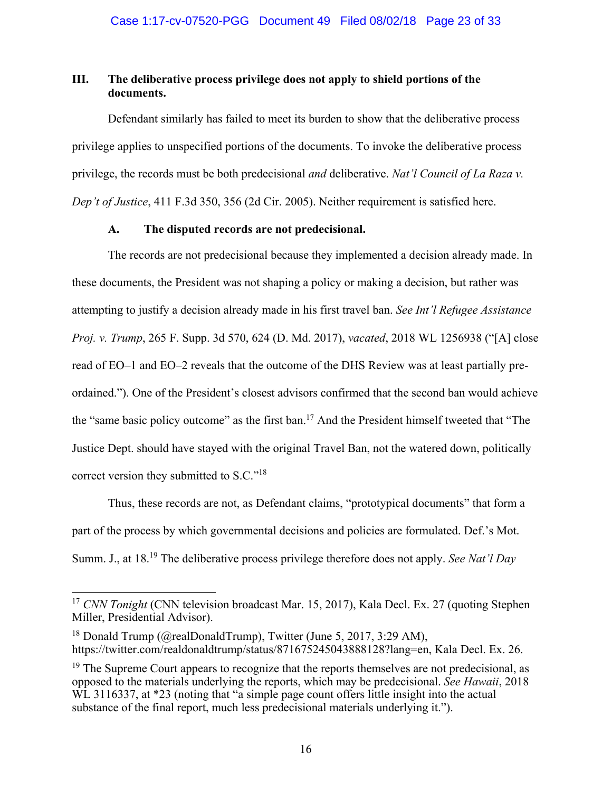# **III. The deliberative process privilege does not apply to shield portions of the documents.**

Defendant similarly has failed to meet its burden to show that the deliberative process privilege applies to unspecified portions of the documents. To invoke the deliberative process privilege, the records must be both predecisional *and* deliberative. *Nat'l Council of La Raza v. Dep't of Justice*, 411 F.3d 350, 356 (2d Cir. 2005). Neither requirement is satisfied here.

# **A. The disputed records are not predecisional.**

The records are not predecisional because they implemented a decision already made. In these documents, the President was not shaping a policy or making a decision, but rather was attempting to justify a decision already made in his first travel ban. *See Int'l Refugee Assistance Proj. v. Trump*, 265 F. Supp. 3d 570, 624 (D. Md. 2017), *vacated*, 2018 WL 1256938 ("[A] close read of EO–1 and EO–2 reveals that the outcome of the DHS Review was at least partially preordained."). One of the President's closest advisors confirmed that the second ban would achieve the "same basic policy outcome" as the first ban.17 And the President himself tweeted that "The Justice Dept. should have stayed with the original Travel Ban, not the watered down, politically correct version they submitted to S.C."<sup>18</sup>

Thus, these records are not, as Defendant claims, "prototypical documents" that form a part of the process by which governmental decisions and policies are formulated. Def.'s Mot. Summ. J., at 18.19 The deliberative process privilege therefore does not apply. *See Nat'l Day* 

<sup>&</sup>lt;sup>17</sup> *CNN Tonight* (CNN television broadcast Mar. 15, 2017), Kala Decl. Ex. 27 (quoting Stephen Miller, Presidential Advisor).

<sup>&</sup>lt;sup>18</sup> Donald Trump (@realDonaldTrump), Twitter (June 5, 2017, 3:29 AM), https://twitter.com/realdonaldtrump/status/871675245043888128?lang=en, Kala Decl. Ex. 26.

 $19$  The Supreme Court appears to recognize that the reports themselves are not predecisional, as opposed to the materials underlying the reports, which may be predecisional. *See Hawaii*, 2018 WL 3116337, at \*23 (noting that "a simple page count offers little insight into the actual substance of the final report, much less predecisional materials underlying it.").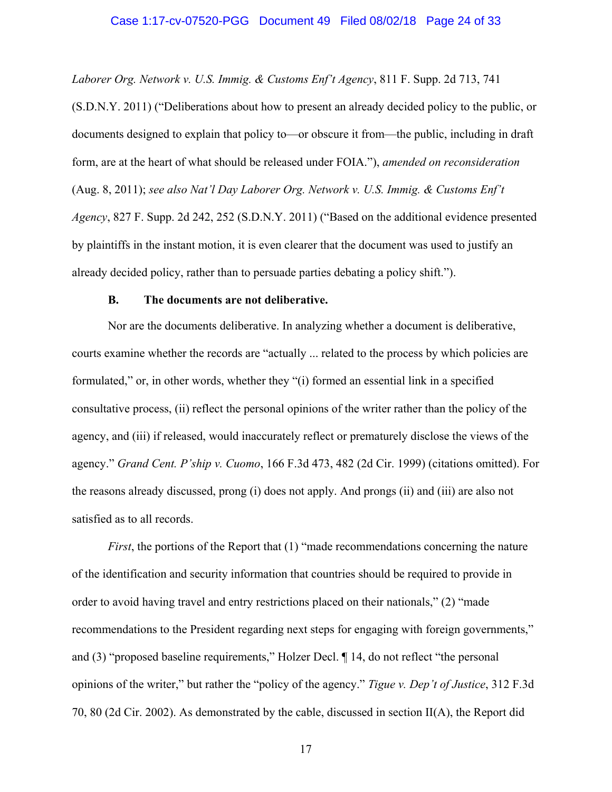#### Case 1:17-cv-07520-PGG Document 49 Filed 08/02/18 Page 24 of 33

*Laborer Org. Network v. U.S. Immig. & Customs Enf't Agency*, 811 F. Supp. 2d 713, 741 (S.D.N.Y. 2011) ("Deliberations about how to present an already decided policy to the public, or documents designed to explain that policy to—or obscure it from—the public, including in draft form, are at the heart of what should be released under FOIA."), *amended on reconsideration* (Aug. 8, 2011); *see also Nat'l Day Laborer Org. Network v. U.S. Immig. & Customs Enf't Agency*, 827 F. Supp. 2d 242, 252 (S.D.N.Y. 2011) ("Based on the additional evidence presented by plaintiffs in the instant motion, it is even clearer that the document was used to justify an already decided policy, rather than to persuade parties debating a policy shift.").

#### **B. The documents are not deliberative.**

Nor are the documents deliberative. In analyzing whether a document is deliberative, courts examine whether the records are "actually ... related to the process by which policies are formulated," or, in other words, whether they "(i) formed an essential link in a specified consultative process, (ii) reflect the personal opinions of the writer rather than the policy of the agency, and (iii) if released, would inaccurately reflect or prematurely disclose the views of the agency." *Grand Cent. P'ship v. Cuomo*, 166 F.3d 473, 482 (2d Cir. 1999) (citations omitted). For the reasons already discussed, prong (i) does not apply. And prongs (ii) and (iii) are also not satisfied as to all records.

*First*, the portions of the Report that (1) "made recommendations concerning the nature of the identification and security information that countries should be required to provide in order to avoid having travel and entry restrictions placed on their nationals," (2) "made recommendations to the President regarding next steps for engaging with foreign governments," and (3) "proposed baseline requirements," Holzer Decl. ¶ 14, do not reflect "the personal opinions of the writer," but rather the "policy of the agency." *Tigue v. Dep't of Justice*, 312 F.3d 70, 80 (2d Cir. 2002). As demonstrated by the cable, discussed in section II(A), the Report did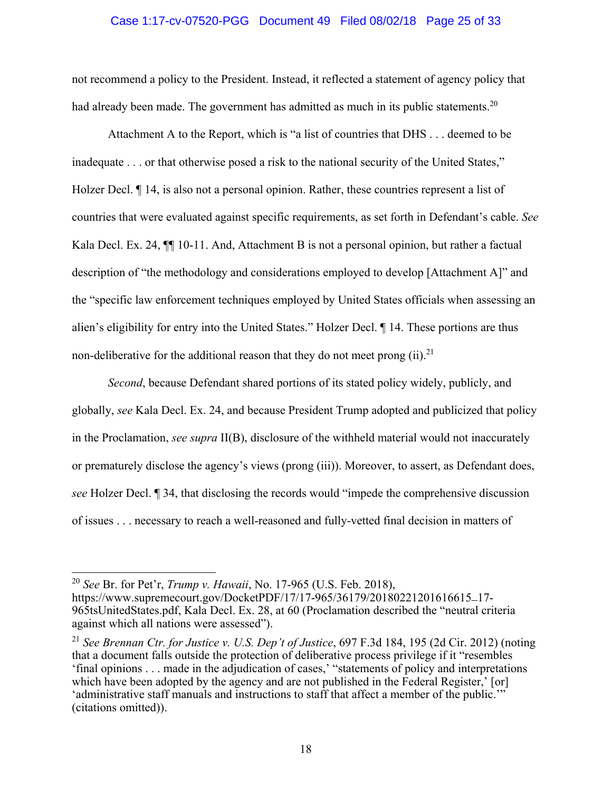#### Case 1:17-cv-07520-PGG Document 49 Filed 08/02/18 Page 25 of 33

not recommend a policy to the President. Instead, it reflected a statement of agency policy that had already been made. The government has admitted as much in its public statements.<sup>20</sup>

Attachment A to the Report, which is "a list of countries that DHS . . . deemed to be inadequate . . . or that otherwise posed a risk to the national security of the United States," Holzer Decl. ¶ 14, is also not a personal opinion. Rather, these countries represent a list of countries that were evaluated against specific requirements, as set forth in Defendant's cable. *See*  Kala Decl. Ex. 24,  $\P$  10-11. And, Attachment B is not a personal opinion, but rather a factual description of "the methodology and considerations employed to develop [Attachment A]" and the "specific law enforcement techniques employed by United States officials when assessing an alien's eligibility for entry into the United States." Holzer Decl. ¶ 14. These portions are thus non-deliberative for the additional reason that they do not meet prong (ii).<sup>21</sup>

*Second*, because Defendant shared portions of its stated policy widely, publicly, and globally, *see* Kala Decl. Ex. 24, and because President Trump adopted and publicized that policy in the Proclamation, *see supra* II(B), disclosure of the withheld material would not inaccurately or prematurely disclose the agency's views (prong (iii)). Moreover, to assert, as Defendant does, *see* Holzer Decl. ¶ 34, that disclosing the records would "impede the comprehensive discussion of issues . . . necessary to reach a well-reasoned and fully-vetted final decision in matters of

<sup>20</sup> *See* Br. for Pet'r, *Trump v. Hawaii*, No. 17-965 (U.S. Feb. 2018),

https://www.supremecourt.gov/DocketPDF/17/17-965/36179/20180221201616615\_17- 965tsUnitedStates.pdf, Kala Decl. Ex. 28, at 60 (Proclamation described the "neutral criteria against which all nations were assessed").

<sup>21</sup> *See Brennan Ctr. for Justice v. U.S. Dep't of Justice*, 697 F.3d 184, 195 (2d Cir. 2012) (noting that a document falls outside the protection of deliberative process privilege if it "resembles 'final opinions . . . made in the adjudication of cases,' "statements of policy and interpretations which have been adopted by the agency and are not published in the Federal Register,' [or] 'administrative staff manuals and instructions to staff that affect a member of the public.'" (citations omitted)).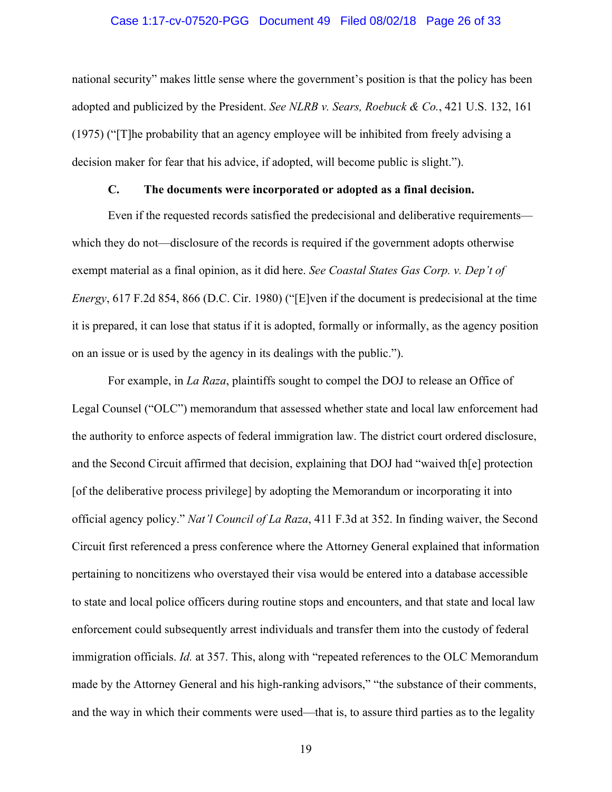#### Case 1:17-cv-07520-PGG Document 49 Filed 08/02/18 Page 26 of 33

national security" makes little sense where the government's position is that the policy has been adopted and publicized by the President. *See NLRB v. Sears, Roebuck & Co.*, 421 U.S. 132, 161 (1975) ("[T]he probability that an agency employee will be inhibited from freely advising a decision maker for fear that his advice, if adopted, will become public is slight.").

## **C. The documents were incorporated or adopted as a final decision.**

Even if the requested records satisfied the predecisional and deliberative requirements which they do not—disclosure of the records is required if the government adopts otherwise exempt material as a final opinion, as it did here. *See Coastal States Gas Corp. v. Dep't of Energy*, 617 F.2d 854, 866 (D.C. Cir. 1980) ("[E]ven if the document is predecisional at the time it is prepared, it can lose that status if it is adopted, formally or informally, as the agency position on an issue or is used by the agency in its dealings with the public.").

For example, in *La Raza*, plaintiffs sought to compel the DOJ to release an Office of Legal Counsel ("OLC") memorandum that assessed whether state and local law enforcement had the authority to enforce aspects of federal immigration law. The district court ordered disclosure, and the Second Circuit affirmed that decision, explaining that DOJ had "waived th[e] protection [of the deliberative process privilege] by adopting the Memorandum or incorporating it into official agency policy." *Nat'l Council of La Raza*, 411 F.3d at 352. In finding waiver, the Second Circuit first referenced a press conference where the Attorney General explained that information pertaining to noncitizens who overstayed their visa would be entered into a database accessible to state and local police officers during routine stops and encounters, and that state and local law enforcement could subsequently arrest individuals and transfer them into the custody of federal immigration officials. *Id.* at 357. This, along with "repeated references to the OLC Memorandum made by the Attorney General and his high-ranking advisors," "the substance of their comments, and the way in which their comments were used—that is, to assure third parties as to the legality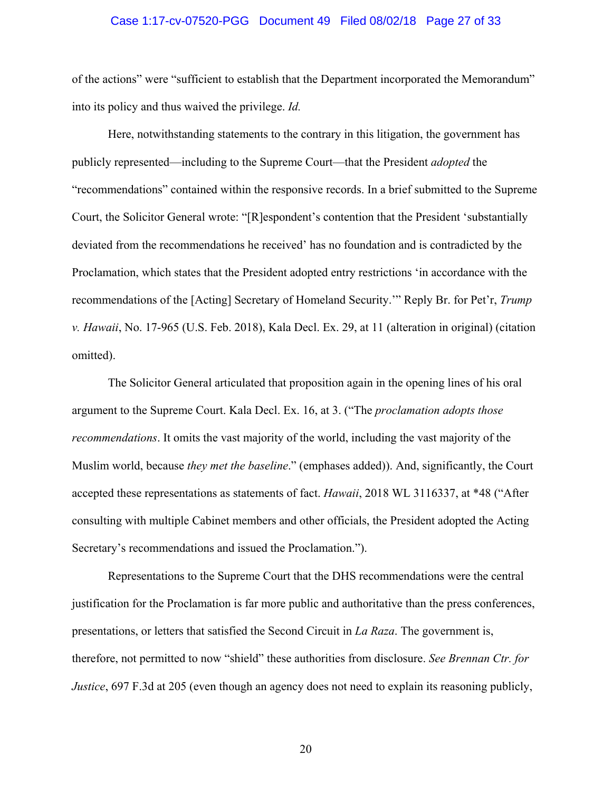#### Case 1:17-cv-07520-PGG Document 49 Filed 08/02/18 Page 27 of 33

of the actions" were "sufficient to establish that the Department incorporated the Memorandum" into its policy and thus waived the privilege. *Id.*

Here, notwithstanding statements to the contrary in this litigation, the government has publicly represented—including to the Supreme Court—that the President *adopted* the "recommendations" contained within the responsive records. In a brief submitted to the Supreme Court, the Solicitor General wrote: "[R]espondent's contention that the President 'substantially deviated from the recommendations he received' has no foundation and is contradicted by the Proclamation, which states that the President adopted entry restrictions 'in accordance with the recommendations of the [Acting] Secretary of Homeland Security.'" Reply Br. for Pet'r, *Trump v. Hawaii*, No. 17-965 (U.S. Feb. 2018), Kala Decl. Ex. 29, at 11 (alteration in original) (citation omitted).

The Solicitor General articulated that proposition again in the opening lines of his oral argument to the Supreme Court. Kala Decl. Ex. 16, at 3. ("The *proclamation adopts those recommendations*. It omits the vast majority of the world, including the vast majority of the Muslim world, because *they met the baseline*." (emphases added)). And, significantly, the Court accepted these representations as statements of fact. *Hawaii*, 2018 WL 3116337, at \*48 ("After consulting with multiple Cabinet members and other officials, the President adopted the Acting Secretary's recommendations and issued the Proclamation.").

Representations to the Supreme Court that the DHS recommendations were the central justification for the Proclamation is far more public and authoritative than the press conferences, presentations, or letters that satisfied the Second Circuit in *La Raza*. The government is, therefore, not permitted to now "shield" these authorities from disclosure. *See Brennan Ctr. for Justice*, 697 F.3d at 205 (even though an agency does not need to explain its reasoning publicly,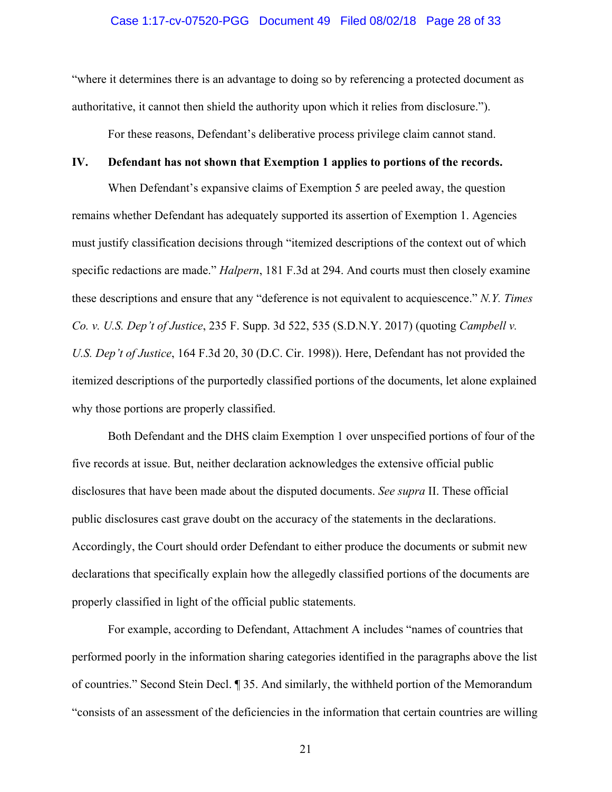"where it determines there is an advantage to doing so by referencing a protected document as authoritative, it cannot then shield the authority upon which it relies from disclosure.").

For these reasons, Defendant's deliberative process privilege claim cannot stand.

#### **IV. Defendant has not shown that Exemption 1 applies to portions of the records.**

When Defendant's expansive claims of Exemption 5 are peeled away, the question remains whether Defendant has adequately supported its assertion of Exemption 1. Agencies must justify classification decisions through "itemized descriptions of the context out of which specific redactions are made." *Halpern*, 181 F.3d at 294. And courts must then closely examine these descriptions and ensure that any "deference is not equivalent to acquiescence." *N.Y. Times Co. v. U.S. Dep't of Justice*, 235 F. Supp. 3d 522, 535 (S.D.N.Y. 2017) (quoting *Campbell v. U.S. Dep't of Justice*, 164 F.3d 20, 30 (D.C. Cir. 1998)). Here, Defendant has not provided the itemized descriptions of the purportedly classified portions of the documents, let alone explained why those portions are properly classified.

Both Defendant and the DHS claim Exemption 1 over unspecified portions of four of the five records at issue. But, neither declaration acknowledges the extensive official public disclosures that have been made about the disputed documents. *See supra* II. These official public disclosures cast grave doubt on the accuracy of the statements in the declarations. Accordingly, the Court should order Defendant to either produce the documents or submit new declarations that specifically explain how the allegedly classified portions of the documents are properly classified in light of the official public statements.

For example, according to Defendant, Attachment A includes "names of countries that performed poorly in the information sharing categories identified in the paragraphs above the list of countries." Second Stein Decl. ¶ 35. And similarly, the withheld portion of the Memorandum "consists of an assessment of the deficiencies in the information that certain countries are willing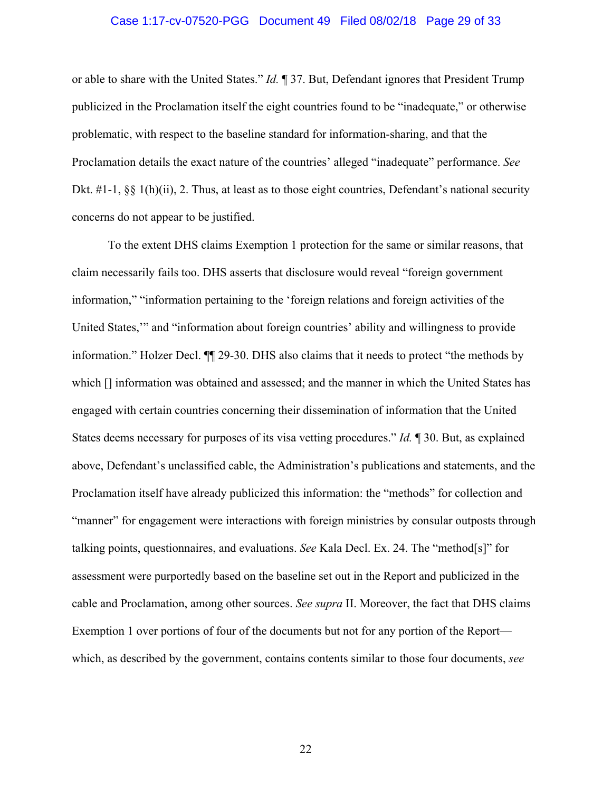#### Case 1:17-cv-07520-PGG Document 49 Filed 08/02/18 Page 29 of 33

or able to share with the United States." *Id.* ¶ 37. But, Defendant ignores that President Trump publicized in the Proclamation itself the eight countries found to be "inadequate," or otherwise problematic, with respect to the baseline standard for information-sharing, and that the Proclamation details the exact nature of the countries' alleged "inadequate" performance. *See*  Dkt. #1-1, §§ 1(h)(ii), 2. Thus, at least as to those eight countries, Defendant's national security concerns do not appear to be justified.

To the extent DHS claims Exemption 1 protection for the same or similar reasons, that claim necessarily fails too. DHS asserts that disclosure would reveal "foreign government information," "information pertaining to the 'foreign relations and foreign activities of the United States,'" and "information about foreign countries' ability and willingness to provide information." Holzer Decl. ¶¶ 29-30. DHS also claims that it needs to protect "the methods by which  $\lceil \cdot \rceil$  information was obtained and assessed; and the manner in which the United States has engaged with certain countries concerning their dissemination of information that the United States deems necessary for purposes of its visa vetting procedures." *Id.* ¶ 30. But, as explained above, Defendant's unclassified cable, the Administration's publications and statements, and the Proclamation itself have already publicized this information: the "methods" for collection and "manner" for engagement were interactions with foreign ministries by consular outposts through talking points, questionnaires, and evaluations. *See* Kala Decl. Ex. 24. The "method[s]" for assessment were purportedly based on the baseline set out in the Report and publicized in the cable and Proclamation, among other sources. *See supra* II. Moreover, the fact that DHS claims Exemption 1 over portions of four of the documents but not for any portion of the Report which, as described by the government, contains contents similar to those four documents, *see*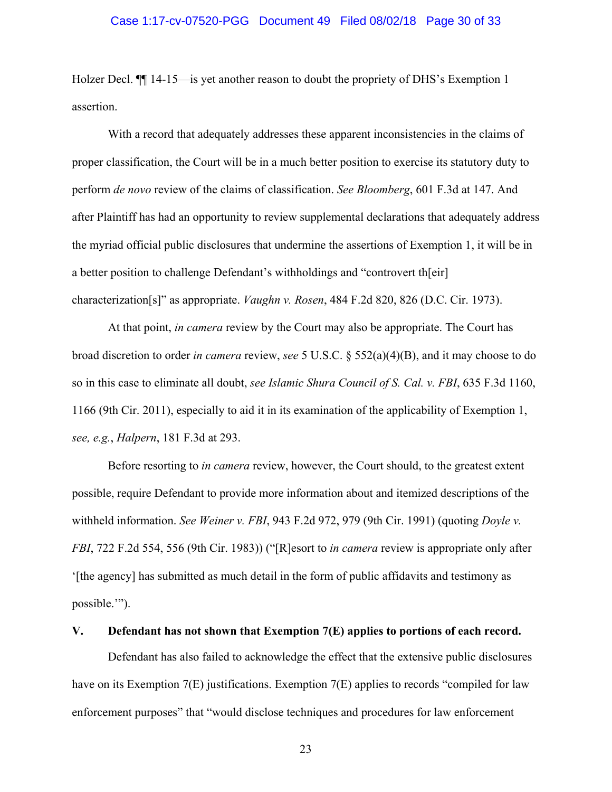#### Case 1:17-cv-07520-PGG Document 49 Filed 08/02/18 Page 30 of 33

Holzer Decl. ¶¶ 14-15—is yet another reason to doubt the propriety of DHS's Exemption 1 assertion.

With a record that adequately addresses these apparent inconsistencies in the claims of proper classification, the Court will be in a much better position to exercise its statutory duty to perform *de novo* review of the claims of classification. *See Bloomberg*, 601 F.3d at 147. And after Plaintiff has had an opportunity to review supplemental declarations that adequately address the myriad official public disclosures that undermine the assertions of Exemption 1, it will be in a better position to challenge Defendant's withholdings and "controvert th[eir] characterization[s]" as appropriate. *Vaughn v. Rosen*, 484 F.2d 820, 826 (D.C. Cir. 1973).

At that point, *in camera* review by the Court may also be appropriate. The Court has broad discretion to order *in camera* review, *see* 5 U.S.C. § 552(a)(4)(B), and it may choose to do so in this case to eliminate all doubt, *see Islamic Shura Council of S. Cal. v. FBI*, 635 F.3d 1160, 1166 (9th Cir. 2011), especially to aid it in its examination of the applicability of Exemption 1, *see, e.g.*, *Halpern*, 181 F.3d at 293.

Before resorting to *in camera* review, however, the Court should, to the greatest extent possible, require Defendant to provide more information about and itemized descriptions of the withheld information. *See Weiner v. FBI*, 943 F.2d 972, 979 (9th Cir. 1991) (quoting *Doyle v. FBI*, 722 F.2d 554, 556 (9th Cir. 1983)) ("[R]esort to *in camera* review is appropriate only after '[the agency] has submitted as much detail in the form of public affidavits and testimony as possible.'").

#### **V. Defendant has not shown that Exemption 7(E) applies to portions of each record.**

Defendant has also failed to acknowledge the effect that the extensive public disclosures have on its Exemption 7(E) justifications. Exemption 7(E) applies to records "compiled for law enforcement purposes" that "would disclose techniques and procedures for law enforcement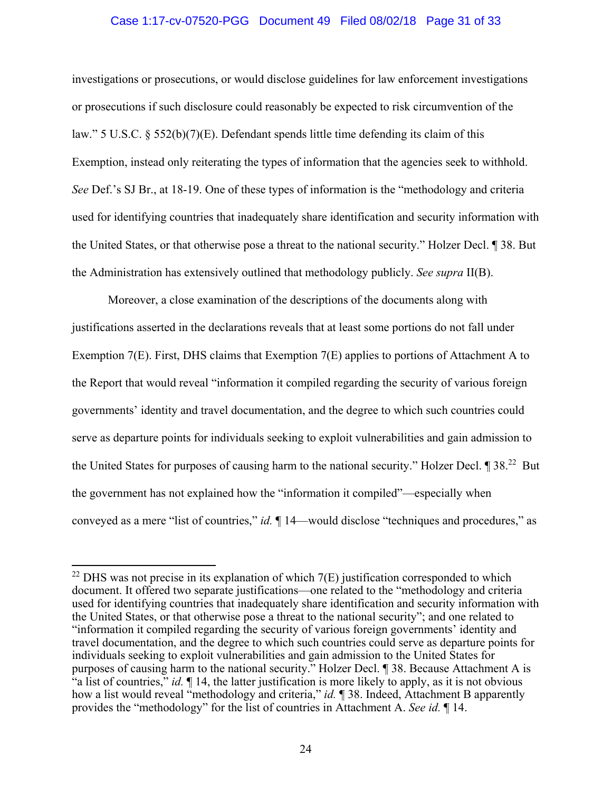#### Case 1:17-cv-07520-PGG Document 49 Filed 08/02/18 Page 31 of 33

investigations or prosecutions, or would disclose guidelines for law enforcement investigations or prosecutions if such disclosure could reasonably be expected to risk circumvention of the law." 5 U.S.C. § 552(b)(7)(E). Defendant spends little time defending its claim of this Exemption, instead only reiterating the types of information that the agencies seek to withhold. *See* Def.'s SJ Br., at 18-19. One of these types of information is the "methodology and criteria used for identifying countries that inadequately share identification and security information with the United States, or that otherwise pose a threat to the national security." Holzer Decl. ¶ 38. But the Administration has extensively outlined that methodology publicly. *See supra* II(B).

Moreover, a close examination of the descriptions of the documents along with justifications asserted in the declarations reveals that at least some portions do not fall under Exemption 7(E). First, DHS claims that Exemption 7(E) applies to portions of Attachment A to the Report that would reveal "information it compiled regarding the security of various foreign governments' identity and travel documentation, and the degree to which such countries could serve as departure points for individuals seeking to exploit vulnerabilities and gain admission to the United States for purposes of causing harm to the national security." Holzer Decl. ¶ 38.22 But the government has not explained how the "information it compiled"—especially when conveyed as a mere "list of countries," *id.* ¶ 14—would disclose "techniques and procedures," as

 $22$  DHS was not precise in its explanation of which  $7(E)$  justification corresponded to which document. It offered two separate justifications—one related to the "methodology and criteria used for identifying countries that inadequately share identification and security information with the United States, or that otherwise pose a threat to the national security"; and one related to "information it compiled regarding the security of various foreign governments' identity and travel documentation, and the degree to which such countries could serve as departure points for individuals seeking to exploit vulnerabilities and gain admission to the United States for purposes of causing harm to the national security." Holzer Decl. ¶ 38. Because Attachment A is "a list of countries," *id.* ¶ 14, the latter justification is more likely to apply, as it is not obvious how a list would reveal "methodology and criteria," *id.* ¶ 38. Indeed, Attachment B apparently provides the "methodology" for the list of countries in Attachment A. *See id.* ¶ 14.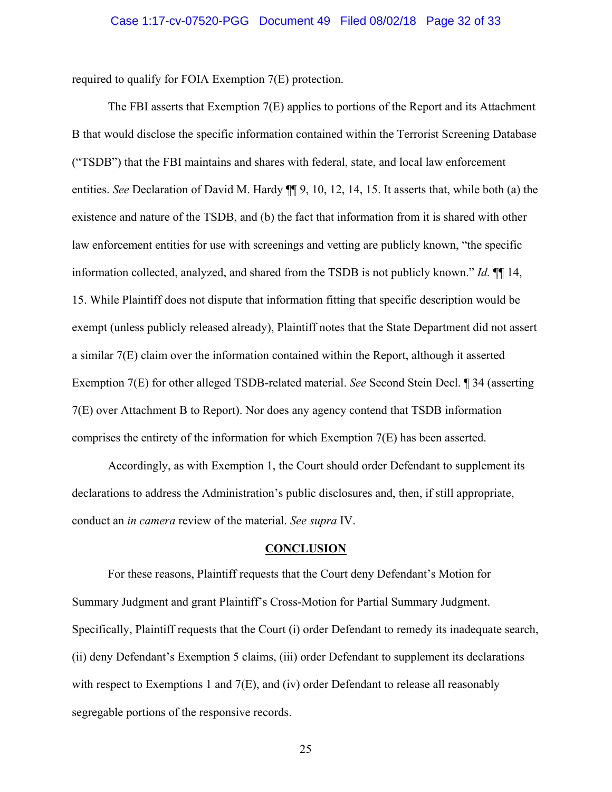required to qualify for FOIA Exemption 7(E) protection.

The FBI asserts that Exemption 7(E) applies to portions of the Report and its Attachment B that would disclose the specific information contained within the Terrorist Screening Database ("TSDB") that the FBI maintains and shares with federal, state, and local law enforcement entities. *See* Declaration of David M. Hardy ¶¶ 9, 10, 12, 14, 15. It asserts that, while both (a) the existence and nature of the TSDB, and (b) the fact that information from it is shared with other law enforcement entities for use with screenings and vetting are publicly known, "the specific information collected, analyzed, and shared from the TSDB is not publicly known." *Id.* ¶¶ 14, 15. While Plaintiff does not dispute that information fitting that specific description would be exempt (unless publicly released already), Plaintiff notes that the State Department did not assert a similar 7(E) claim over the information contained within the Report, although it asserted Exemption 7(E) for other alleged TSDB-related material. *See* Second Stein Decl. ¶ 34 (asserting 7(E) over Attachment B to Report). Nor does any agency contend that TSDB information comprises the entirety of the information for which Exemption 7(E) has been asserted.

Accordingly, as with Exemption 1, the Court should order Defendant to supplement its declarations to address the Administration's public disclosures and, then, if still appropriate, conduct an *in camera* review of the material. *See supra* IV.

#### **CONCLUSION**

For these reasons, Plaintiff requests that the Court deny Defendant's Motion for Summary Judgment and grant Plaintiff's Cross-Motion for Partial Summary Judgment. Specifically, Plaintiff requests that the Court (i) order Defendant to remedy its inadequate search, (ii) deny Defendant's Exemption 5 claims, (iii) order Defendant to supplement its declarations with respect to Exemptions 1 and 7(E), and (iv) order Defendant to release all reasonably segregable portions of the responsive records.